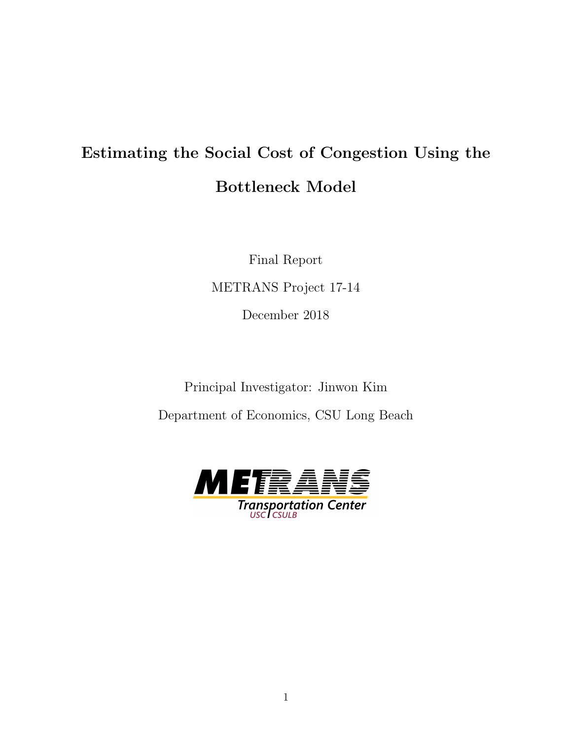# Estimating the Social Cost of Congestion Using the Bottleneck Model

Final Report METRANS Project 17-14 December 2018

Principal Investigator: Jinwon Kim Department of Economics, CSU Long Beach

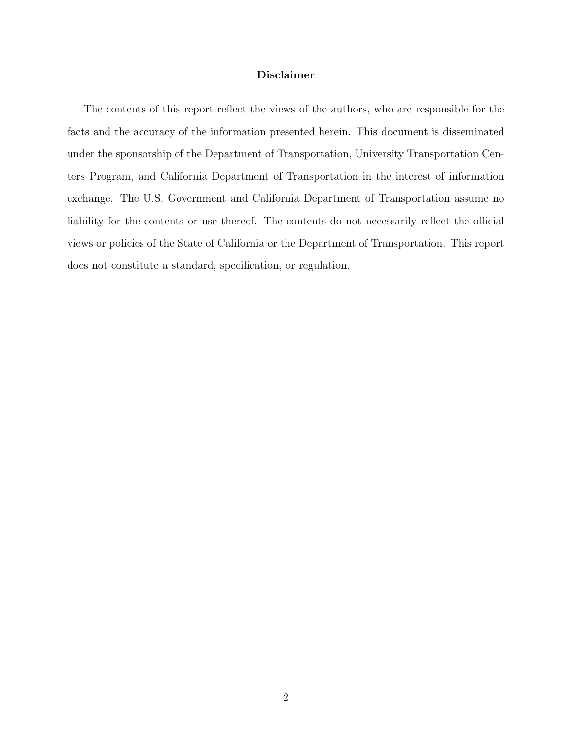#### Disclaimer

The contents of this report reflect the views of the authors, who are responsible for the facts and the accuracy of the information presented herein. This document is disseminated under the sponsorship of the Department of Transportation, University Transportation Centers Program, and California Department of Transportation in the interest of information exchange. The U.S. Government and California Department of Transportation assume no liability for the contents or use thereof. The contents do not necessarily reflect the official views or policies of the State of California or the Department of Transportation. This report does not constitute a standard, specification, or regulation.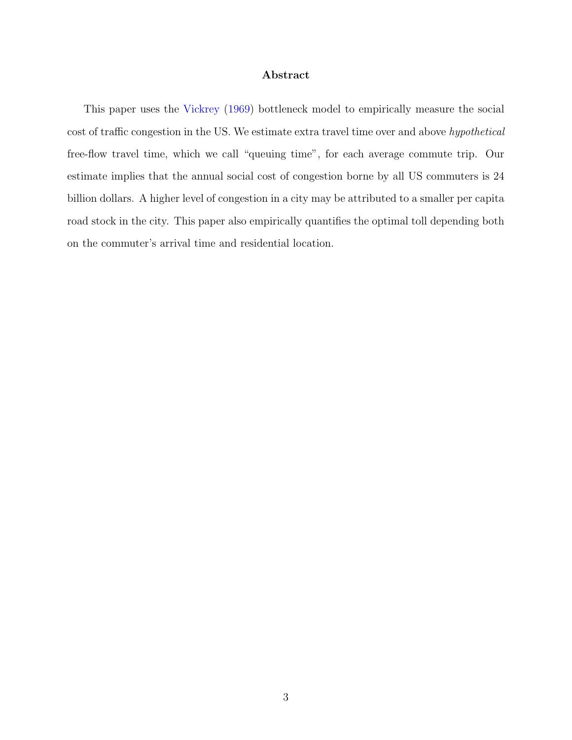#### Abstract

This paper uses the [Vickrey](#page-40-0) [\(1969\)](#page-40-0) bottleneck model to empirically measure the social cost of traffic congestion in the US. We estimate extra travel time over and above hypothetical free-flow travel time, which we call "queuing time", for each average commute trip. Our estimate implies that the annual social cost of congestion borne by all US commuters is 24 billion dollars. A higher level of congestion in a city may be attributed to a smaller per capita road stock in the city. This paper also empirically quantifies the optimal toll depending both on the commuter's arrival time and residential location.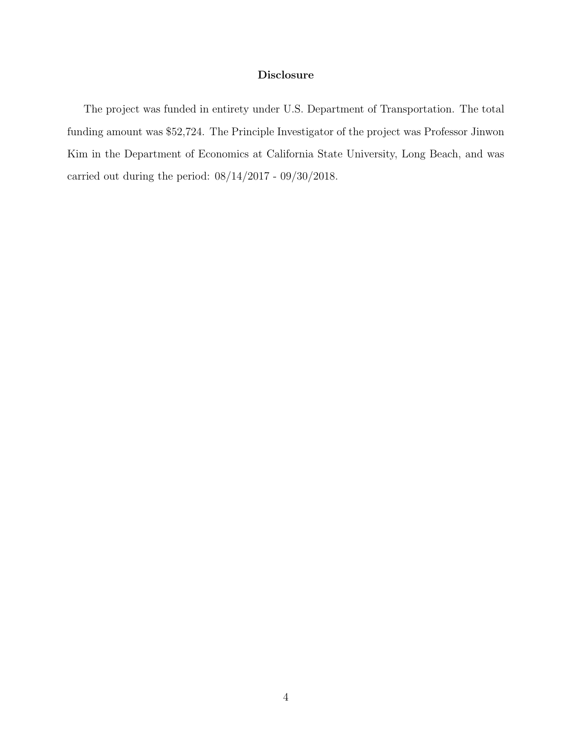#### Disclosure

The project was funded in entirety under U.S. Department of Transportation. The total funding amount was \$52,724. The Principle Investigator of the project was Professor Jinwon Kim in the Department of Economics at California State University, Long Beach, and was carried out during the period: 08/14/2017 - 09/30/2018.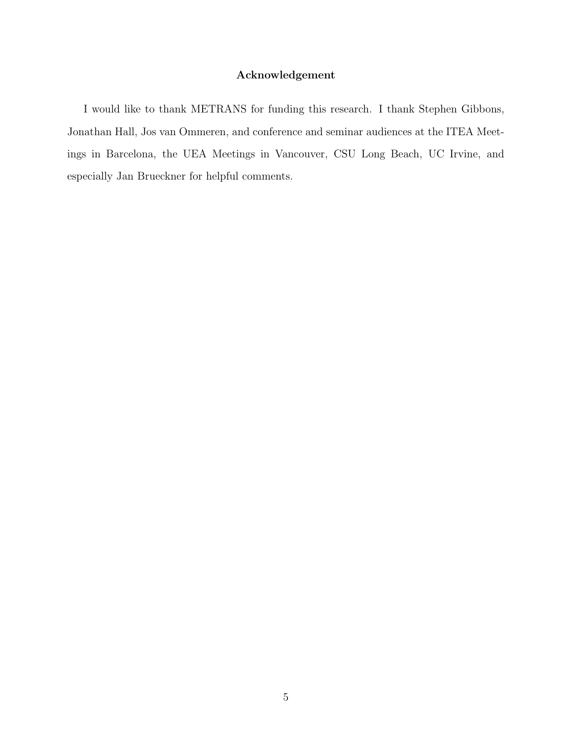# Acknowledgement

I would like to thank METRANS for funding this research. I thank Stephen Gibbons, Jonathan Hall, Jos van Ommeren, and conference and seminar audiences at the ITEA Meetings in Barcelona, the UEA Meetings in Vancouver, CSU Long Beach, UC Irvine, and especially Jan Brueckner for helpful comments.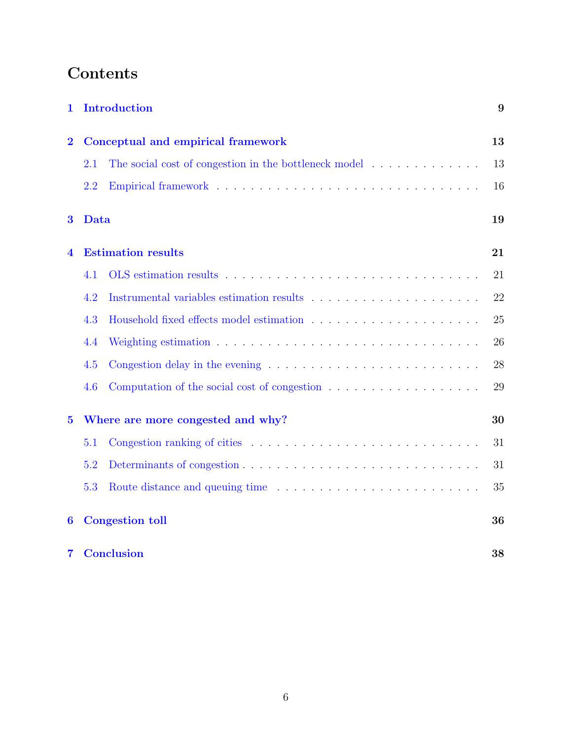# Contents

| 1                |      | <b>Introduction</b>                                                                 | 9  |
|------------------|------|-------------------------------------------------------------------------------------|----|
| $\overline{2}$   |      | Conceptual and empirical framework                                                  | 13 |
|                  | 2.1  | The social cost of congestion in the bottleneck model $\ldots \ldots \ldots \ldots$ | 13 |
|                  | 2.2  |                                                                                     | 16 |
| 3                | Data |                                                                                     | 19 |
| 4                |      | <b>Estimation results</b>                                                           | 21 |
|                  | 4.1  |                                                                                     | 21 |
|                  | 4.2  |                                                                                     | 22 |
|                  | 4.3  |                                                                                     | 25 |
|                  | 4.4  |                                                                                     | 26 |
|                  | 4.5  |                                                                                     | 28 |
|                  | 4.6  |                                                                                     | 29 |
| $\overline{5}$   |      | Where are more congested and why?                                                   | 30 |
|                  | 5.1  |                                                                                     | 31 |
|                  | 5.2  |                                                                                     | 31 |
|                  | 5.3  |                                                                                     | 35 |
| $\boldsymbol{6}$ |      | <b>Congestion toll</b>                                                              | 36 |
| $\overline{7}$   |      | <b>Conclusion</b>                                                                   | 38 |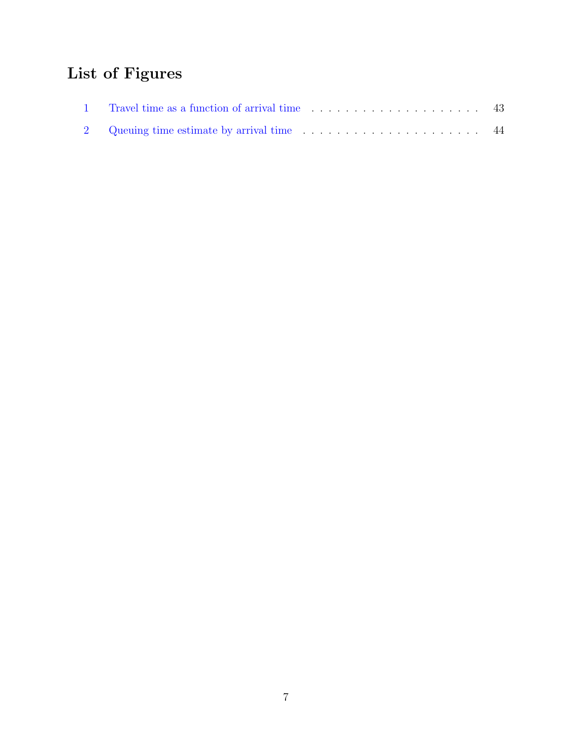# List of Figures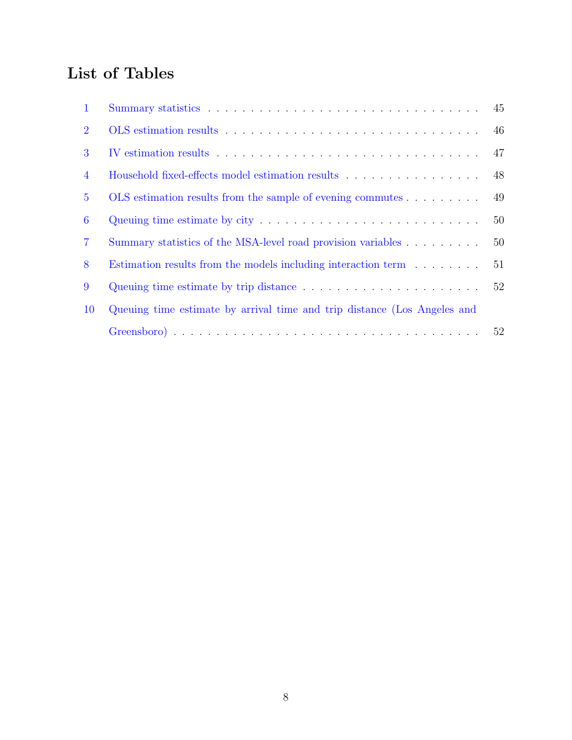# List of Tables

| $\mathbf 1$    |                                                                                       | 45 |
|----------------|---------------------------------------------------------------------------------------|----|
| $\overline{2}$ |                                                                                       |    |
| 3              |                                                                                       | 47 |
| $\overline{4}$ | Household fixed-effects model estimation results $\ldots \ldots \ldots \ldots \ldots$ | 48 |
| $5^{\circ}$    | OLS estimation results from the sample of evening commutes                            | 49 |
| 6              |                                                                                       | 50 |
| $\overline{7}$ | Summary statistics of the MSA-level road provision variables                          | 50 |
| 8              | Estimation results from the models including interaction term                         | 51 |
| 9              |                                                                                       | 52 |
| <b>10</b>      | Queuing time estimate by arrival time and trip distance (Los Angeles and              |    |
|                |                                                                                       |    |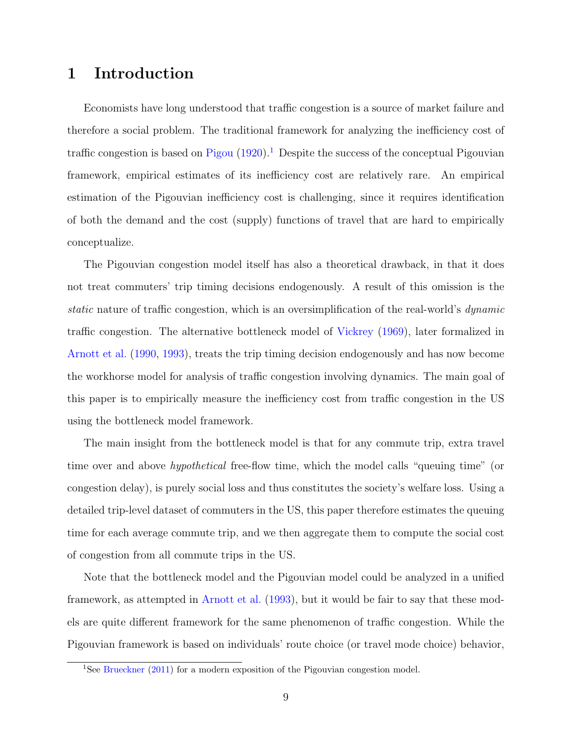# <span id="page-8-0"></span>1 Introduction

Economists have long understood that traffic congestion is a source of market failure and therefore a social problem. The traditional framework for analyzing the inefficiency cost of traffic congestion is based on [Pigou](#page-40-1)  $(1920)$ .<sup>[1](#page-8-1)</sup> Despite the success of the conceptual Pigouvian framework, empirical estimates of its inefficiency cost are relatively rare. An empirical estimation of the Pigouvian inefficiency cost is challenging, since it requires identification of both the demand and the cost (supply) functions of travel that are hard to empirically conceptualize.

The Pigouvian congestion model itself has also a theoretical drawback, in that it does not treat commuters' trip timing decisions endogenously. A result of this omission is the static nature of traffic congestion, which is an oversimplification of the real-world's dynamic traffic congestion. The alternative bottleneck model of [Vickrey](#page-40-0) [\(1969\)](#page-40-0), later formalized in [Arnott et al.](#page-39-0) [\(1990,](#page-39-0) [1993\)](#page-39-1), treats the trip timing decision endogenously and has now become the workhorse model for analysis of traffic congestion involving dynamics. The main goal of this paper is to empirically measure the inefficiency cost from traffic congestion in the US using the bottleneck model framework.

The main insight from the bottleneck model is that for any commute trip, extra travel time over and above hypothetical free-flow time, which the model calls "queuing time" (or congestion delay), is purely social loss and thus constitutes the society's welfare loss. Using a detailed trip-level dataset of commuters in the US, this paper therefore estimates the queuing time for each average commute trip, and we then aggregate them to compute the social cost of congestion from all commute trips in the US.

Note that the bottleneck model and the Pigouvian model could be analyzed in a unified framework, as attempted in [Arnott et al.](#page-39-1) [\(1993\)](#page-39-1), but it would be fair to say that these models are quite different framework for the same phenomenon of traffic congestion. While the Pigouvian framework is based on individuals' route choice (or travel mode choice) behavior,

<span id="page-8-1"></span><sup>&</sup>lt;sup>1</sup>See [Brueckner](#page-39-2) [\(2011\)](#page-39-2) for a modern exposition of the Pigouvian congestion model.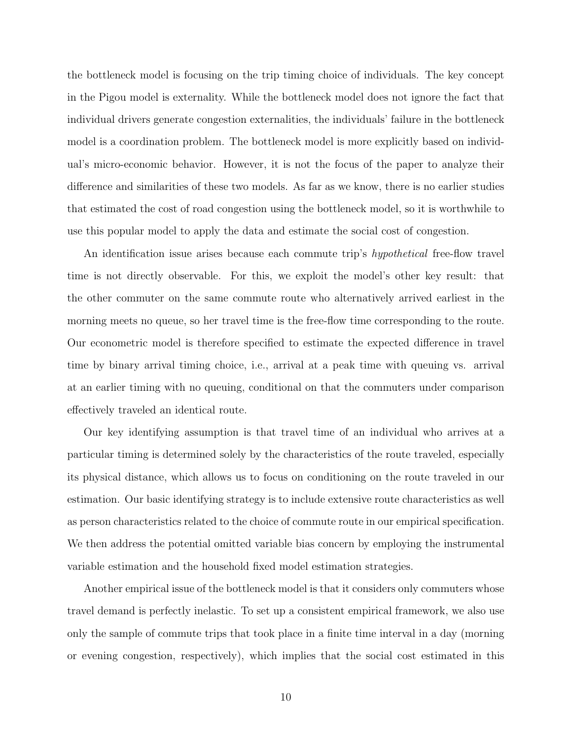the bottleneck model is focusing on the trip timing choice of individuals. The key concept in the Pigou model is externality. While the bottleneck model does not ignore the fact that individual drivers generate congestion externalities, the individuals' failure in the bottleneck model is a coordination problem. The bottleneck model is more explicitly based on individual's micro-economic behavior. However, it is not the focus of the paper to analyze their difference and similarities of these two models. As far as we know, there is no earlier studies that estimated the cost of road congestion using the bottleneck model, so it is worthwhile to use this popular model to apply the data and estimate the social cost of congestion.

An identification issue arises because each commute trip's *hypothetical* free-flow travel time is not directly observable. For this, we exploit the model's other key result: that the other commuter on the same commute route who alternatively arrived earliest in the morning meets no queue, so her travel time is the free-flow time corresponding to the route. Our econometric model is therefore specified to estimate the expected difference in travel time by binary arrival timing choice, i.e., arrival at a peak time with queuing vs. arrival at an earlier timing with no queuing, conditional on that the commuters under comparison effectively traveled an identical route.

Our key identifying assumption is that travel time of an individual who arrives at a particular timing is determined solely by the characteristics of the route traveled, especially its physical distance, which allows us to focus on conditioning on the route traveled in our estimation. Our basic identifying strategy is to include extensive route characteristics as well as person characteristics related to the choice of commute route in our empirical specification. We then address the potential omitted variable bias concern by employing the instrumental variable estimation and the household fixed model estimation strategies.

Another empirical issue of the bottleneck model is that it considers only commuters whose travel demand is perfectly inelastic. To set up a consistent empirical framework, we also use only the sample of commute trips that took place in a finite time interval in a day (morning or evening congestion, respectively), which implies that the social cost estimated in this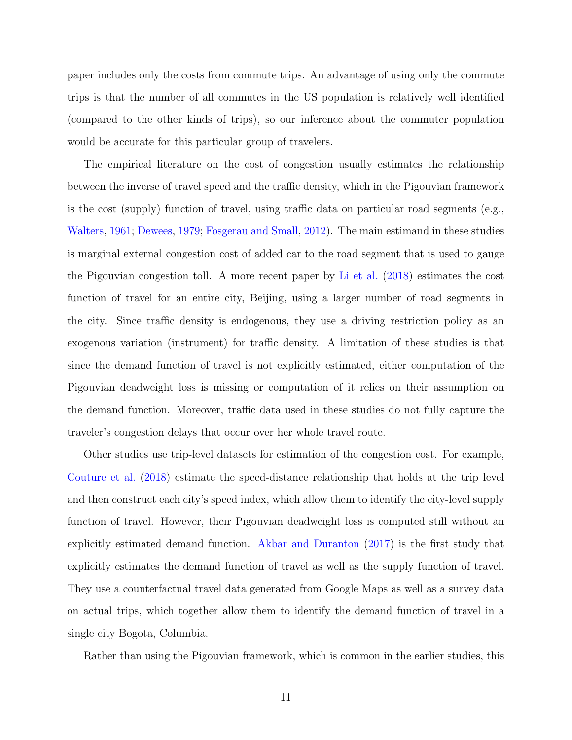paper includes only the costs from commute trips. An advantage of using only the commute trips is that the number of all commutes in the US population is relatively well identified (compared to the other kinds of trips), so our inference about the commuter population would be accurate for this particular group of travelers.

The empirical literature on the cost of congestion usually estimates the relationship between the inverse of travel speed and the traffic density, which in the Pigouvian framework is the cost (supply) function of travel, using traffic data on particular road segments (e.g., [Walters,](#page-41-0) [1961;](#page-41-0) [Dewees,](#page-39-3) [1979;](#page-39-3) [Fosgerau and Small,](#page-40-2) [2012\)](#page-40-2). The main estimand in these studies is marginal external congestion cost of added car to the road segment that is used to gauge the Pigouvian congestion toll. A more recent paper by [Li et al.](#page-40-3) [\(2018\)](#page-40-3) estimates the cost function of travel for an entire city, Beijing, using a larger number of road segments in the city. Since traffic density is endogenous, they use a driving restriction policy as an exogenous variation (instrument) for traffic density. A limitation of these studies is that since the demand function of travel is not explicitly estimated, either computation of the Pigouvian deadweight loss is missing or computation of it relies on their assumption on the demand function. Moreover, traffic data used in these studies do not fully capture the traveler's congestion delays that occur over her whole travel route.

Other studies use trip-level datasets for estimation of the congestion cost. For example, [Couture et al.](#page-39-4) [\(2018\)](#page-39-4) estimate the speed-distance relationship that holds at the trip level and then construct each city's speed index, which allow them to identify the city-level supply function of travel. However, their Pigouvian deadweight loss is computed still without an explicitly estimated demand function. [Akbar and Duranton](#page-39-5) [\(2017\)](#page-39-5) is the first study that explicitly estimates the demand function of travel as well as the supply function of travel. They use a counterfactual travel data generated from Google Maps as well as a survey data on actual trips, which together allow them to identify the demand function of travel in a single city Bogota, Columbia.

Rather than using the Pigouvian framework, which is common in the earlier studies, this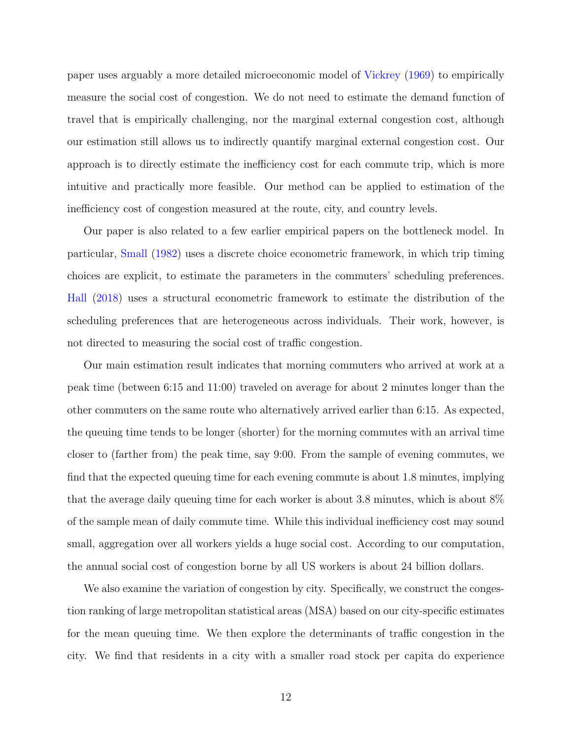paper uses arguably a more detailed microeconomic model of [Vickrey](#page-40-0) [\(1969\)](#page-40-0) to empirically measure the social cost of congestion. We do not need to estimate the demand function of travel that is empirically challenging, nor the marginal external congestion cost, although our estimation still allows us to indirectly quantify marginal external congestion cost. Our approach is to directly estimate the inefficiency cost for each commute trip, which is more intuitive and practically more feasible. Our method can be applied to estimation of the inefficiency cost of congestion measured at the route, city, and country levels.

Our paper is also related to a few earlier empirical papers on the bottleneck model. In particular, [Small](#page-40-4) [\(1982\)](#page-40-4) uses a discrete choice econometric framework, in which trip timing choices are explicit, to estimate the parameters in the commuters' scheduling preferences. [Hall](#page-40-5) [\(2018\)](#page-40-5) uses a structural econometric framework to estimate the distribution of the scheduling preferences that are heterogeneous across individuals. Their work, however, is not directed to measuring the social cost of traffic congestion.

Our main estimation result indicates that morning commuters who arrived at work at a peak time (between 6:15 and 11:00) traveled on average for about 2 minutes longer than the other commuters on the same route who alternatively arrived earlier than 6:15. As expected, the queuing time tends to be longer (shorter) for the morning commutes with an arrival time closer to (farther from) the peak time, say 9:00. From the sample of evening commutes, we find that the expected queuing time for each evening commute is about 1.8 minutes, implying that the average daily queuing time for each worker is about 3.8 minutes, which is about 8% of the sample mean of daily commute time. While this individual inefficiency cost may sound small, aggregation over all workers yields a huge social cost. According to our computation, the annual social cost of congestion borne by all US workers is about 24 billion dollars.

We also examine the variation of congestion by city. Specifically, we construct the congestion ranking of large metropolitan statistical areas (MSA) based on our city-specific estimates for the mean queuing time. We then explore the determinants of traffic congestion in the city. We find that residents in a city with a smaller road stock per capita do experience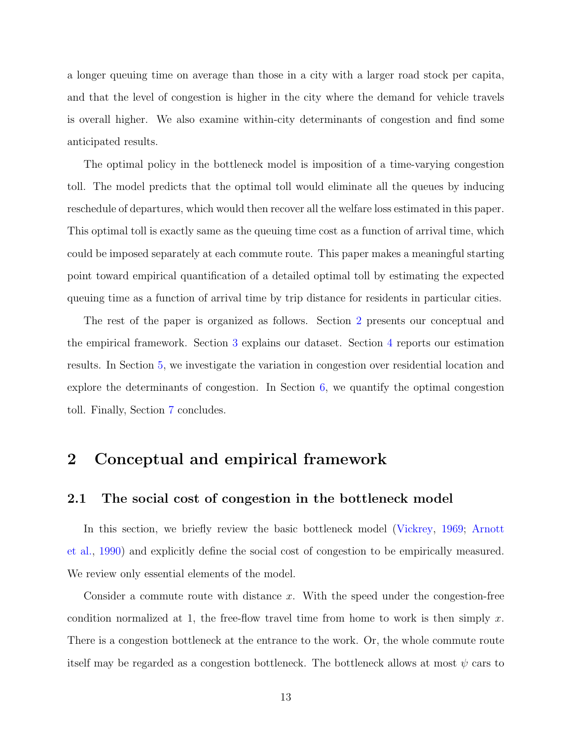a longer queuing time on average than those in a city with a larger road stock per capita, and that the level of congestion is higher in the city where the demand for vehicle travels is overall higher. We also examine within-city determinants of congestion and find some anticipated results.

The optimal policy in the bottleneck model is imposition of a time-varying congestion toll. The model predicts that the optimal toll would eliminate all the queues by inducing reschedule of departures, which would then recover all the welfare loss estimated in this paper. This optimal toll is exactly same as the queuing time cost as a function of arrival time, which could be imposed separately at each commute route. This paper makes a meaningful starting point toward empirical quantification of a detailed optimal toll by estimating the expected queuing time as a function of arrival time by trip distance for residents in particular cities.

The rest of the paper is organized as follows. Section [2](#page-12-0) presents our conceptual and the empirical framework. Section [3](#page-18-0) explains our dataset. Section [4](#page-20-0) reports our estimation results. In Section [5,](#page-29-0) we investigate the variation in congestion over residential location and explore the determinants of congestion. In Section [6,](#page-35-0) we quantify the optimal congestion toll. Finally, Section [7](#page-37-0) concludes.

# <span id="page-12-0"></span>2 Conceptual and empirical framework

# <span id="page-12-1"></span>2.1 The social cost of congestion in the bottleneck model

In this section, we briefly review the basic bottleneck model [\(Vickrey,](#page-40-0) [1969;](#page-40-0) [Arnott](#page-39-0) [et al.,](#page-39-0) [1990\)](#page-39-0) and explicitly define the social cost of congestion to be empirically measured. We review only essential elements of the model.

Consider a commute route with distance  $x$ . With the speed under the congestion-free condition normalized at 1, the free-flow travel time from home to work is then simply  $x$ . There is a congestion bottleneck at the entrance to the work. Or, the whole commute route itself may be regarded as a congestion bottleneck. The bottleneck allows at most  $\psi$  cars to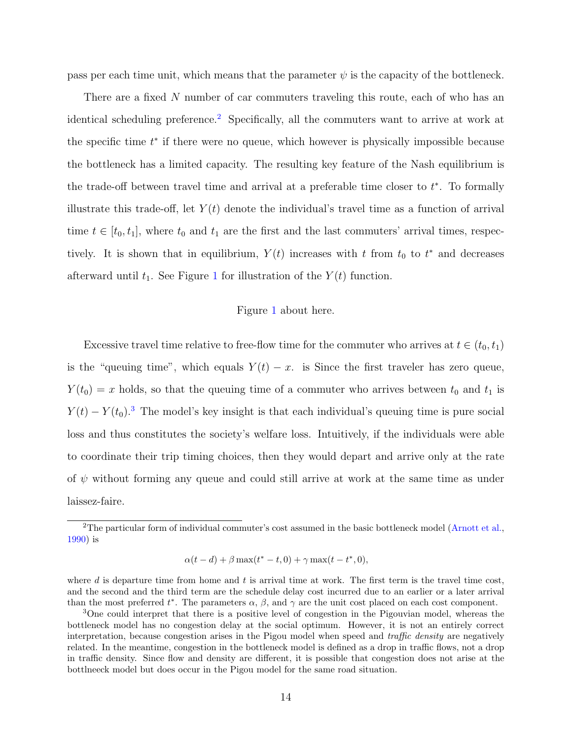pass per each time unit, which means that the parameter  $\psi$  is the capacity of the bottleneck.

There are a fixed N number of car commuters traveling this route, each of who has an identical scheduling preference.[2](#page-13-0) Specifically, all the commuters want to arrive at work at the specific time  $t^*$  if there were no queue, which however is physically impossible because the bottleneck has a limited capacity. The resulting key feature of the Nash equilibrium is the trade-off between travel time and arrival at a preferable time closer to  $t^*$ . To formally illustrate this trade-off, let  $Y(t)$  denote the individual's travel time as a function of arrival time  $t \in [t_0, t_1]$ , where  $t_0$  and  $t_1$  are the first and the last commuters' arrival times, respectively. It is shown that in equilibrium,  $Y(t)$  increases with t from  $t_0$  to  $t^*$  and decreases afterward until  $t_1$  $t_1$ . See Figure 1 for illustration of the  $Y(t)$  function.

#### Figure [1](#page-42-0) about here.

Excessive travel time relative to free-flow time for the commuter who arrives at  $t \in (t_0, t_1)$ is the "queuing time", which equals  $Y(t) - x$ . is Since the first traveler has zero queue,  $Y(t_0) = x$  holds, so that the queuing time of a commuter who arrives between  $t_0$  and  $t_1$  is  $Y(t) - Y(t_0)^3$  $Y(t) - Y(t_0)^3$ . The model's key insight is that each individual's queuing time is pure social loss and thus constitutes the society's welfare loss. Intuitively, if the individuals were able to coordinate their trip timing choices, then they would depart and arrive only at the rate of  $\psi$  without forming any queue and could still arrive at work at the same time as under laissez-faire.

$$
\alpha(t-d) + \beta \max(t^* - t, 0) + \gamma \max(t - t^*, 0),
$$

where d is departure time from home and t is arrival time at work. The first term is the travel time cost, and the second and the third term are the schedule delay cost incurred due to an earlier or a later arrival than the most preferred  $t^*$ . The parameters  $\alpha$ ,  $\beta$ , and  $\gamma$  are the unit cost placed on each cost component.

<span id="page-13-0"></span><sup>&</sup>lt;sup>2</sup>The particular form of individual commuter's cost assumed in the basic bottleneck model [\(Arnott et al.,](#page-39-0) [1990\)](#page-39-0) is

<span id="page-13-1"></span><sup>&</sup>lt;sup>3</sup>One could interpret that there is a positive level of congestion in the Pigouvian model, whereas the bottleneck model has no congestion delay at the social optimum. However, it is not an entirely correct interpretation, because congestion arises in the Pigou model when speed and traffic density are negatively related. In the meantime, congestion in the bottleneck model is defined as a drop in traffic flows, not a drop in traffic density. Since flow and density are different, it is possible that congestion does not arise at the bottlneeck model but does occur in the Pigou model for the same road situation.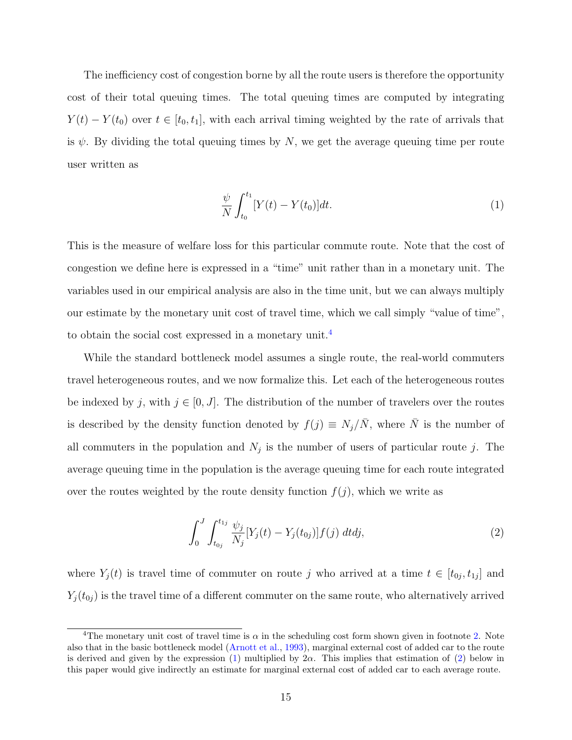The inefficiency cost of congestion borne by all the route users is therefore the opportunity cost of their total queuing times. The total queuing times are computed by integrating  $Y(t) - Y(t_0)$  over  $t \in [t_0, t_1]$ , with each arrival timing weighted by the rate of arrivals that is  $\psi$ . By dividing the total queuing times by N, we get the average queuing time per route user written as

<span id="page-14-1"></span>
$$
\frac{\psi}{N} \int_{t_0}^{t_1} [Y(t) - Y(t_0)] dt.
$$
\n(1)

This is the measure of welfare loss for this particular commute route. Note that the cost of congestion we define here is expressed in a "time" unit rather than in a monetary unit. The variables used in our empirical analysis are also in the time unit, but we can always multiply our estimate by the monetary unit cost of travel time, which we call simply "value of time", to obtain the social cost expressed in a monetary unit.[4](#page-14-0)

While the standard bottleneck model assumes a single route, the real-world commuters travel heterogeneous routes, and we now formalize this. Let each of the heterogeneous routes be indexed by j, with  $j \in [0, J]$ . The distribution of the number of travelers over the routes is described by the density function denoted by  $f(j) \equiv N_j/\overline{N}$ , where  $\overline{N}$  is the number of all commuters in the population and  $N_j$  is the number of users of particular route j. The average queuing time in the population is the average queuing time for each route integrated over the routes weighted by the route density function  $f(j)$ , which we write as

<span id="page-14-2"></span>
$$
\int_0^J \int_{t_{0j}}^{t_{1j}} \frac{\psi_j}{N_j} [Y_j(t) - Y_j(t_{0j})] f(j) dt dj,
$$
\n(2)

where  $Y_j(t)$  is travel time of commuter on route j who arrived at a time  $t \in [t_{0j}, t_{1j}]$  and  $Y_j(t_{0j})$  is the travel time of a different commuter on the same route, who alternatively arrived

<span id="page-14-0"></span><sup>&</sup>lt;sup>4</sup>The monetary unit cost of travel time is  $\alpha$  in the scheduling cost form shown given in footnote [2.](#page-13-0) Note also that in the basic bottleneck model [\(Arnott et al.,](#page-39-1) [1993\)](#page-39-1), marginal external cost of added car to the route is derived and given by the expression [\(1\)](#page-14-1) multiplied by  $2\alpha$ . This implies that estimation of [\(2\)](#page-14-2) below in this paper would give indirectly an estimate for marginal external cost of added car to each average route.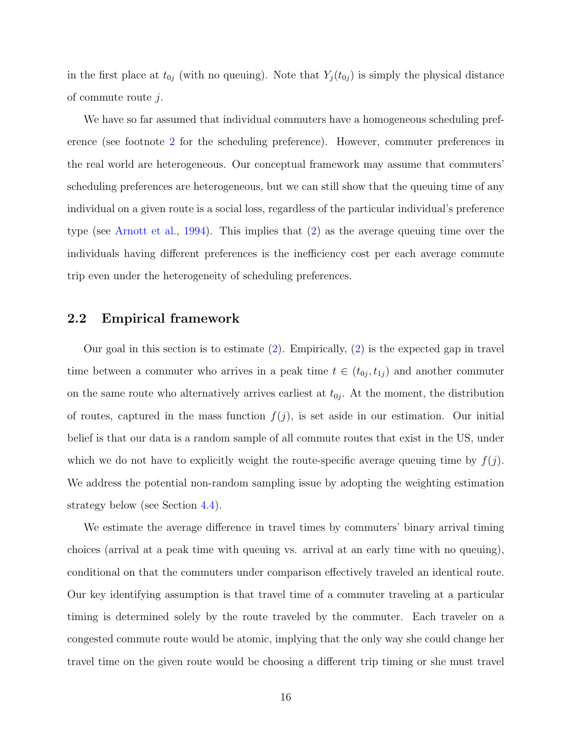in the first place at  $t_{0j}$  (with no queuing). Note that  $Y_j(t_{0j})$  is simply the physical distance of commute route j.

We have so far assumed that individual commuters have a homogeneous scheduling preference (see footnote [2](#page-13-0) for the scheduling preference). However, commuter preferences in the real world are heterogeneous. Our conceptual framework may assume that commuters' scheduling preferences are heterogeneous, but we can still show that the queuing time of any individual on a given route is a social loss, regardless of the particular individual's preference type (see [Arnott et al.,](#page-39-6) [1994\)](#page-39-6). This implies that [\(2\)](#page-14-2) as the average queuing time over the individuals having different preferences is the inefficiency cost per each average commute trip even under the heterogeneity of scheduling preferences.

### <span id="page-15-0"></span>2.2 Empirical framework

Our goal in this section is to estimate [\(2\)](#page-14-2). Empirically, [\(2\)](#page-14-2) is the expected gap in travel time between a commuter who arrives in a peak time  $t \in (t_{0j}, t_{1j})$  and another commuter on the same route who alternatively arrives earliest at  $t_{0j}$ . At the moment, the distribution of routes, captured in the mass function  $f(j)$ , is set aside in our estimation. Our initial belief is that our data is a random sample of all commute routes that exist in the US, under which we do not have to explicitly weight the route-specific average queuing time by  $f(j)$ . We address the potential non-random sampling issue by adopting the weighting estimation strategy below (see Section [4.4\)](#page-25-0).

We estimate the average difference in travel times by commuters' binary arrival timing choices (arrival at a peak time with queuing vs. arrival at an early time with no queuing), conditional on that the commuters under comparison effectively traveled an identical route. Our key identifying assumption is that travel time of a commuter traveling at a particular timing is determined solely by the route traveled by the commuter. Each traveler on a congested commute route would be atomic, implying that the only way she could change her travel time on the given route would be choosing a different trip timing or she must travel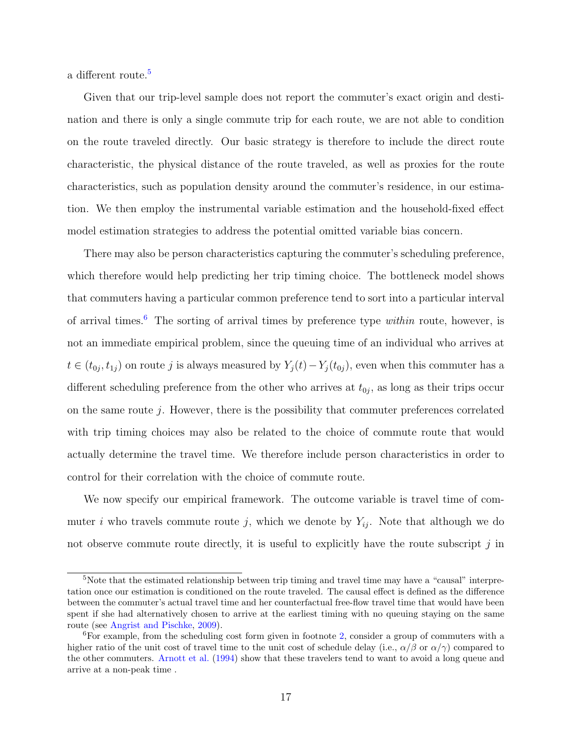a different route.<sup>[5](#page-16-0)</sup>

Given that our trip-level sample does not report the commuter's exact origin and destination and there is only a single commute trip for each route, we are not able to condition on the route traveled directly. Our basic strategy is therefore to include the direct route characteristic, the physical distance of the route traveled, as well as proxies for the route characteristics, such as population density around the commuter's residence, in our estimation. We then employ the instrumental variable estimation and the household-fixed effect model estimation strategies to address the potential omitted variable bias concern.

There may also be person characteristics capturing the commuter's scheduling preference, which therefore would help predicting her trip timing choice. The bottleneck model shows that commuters having a particular common preference tend to sort into a particular interval of arrival times.<sup>[6](#page-16-1)</sup> The sorting of arrival times by preference type *within* route, however, is not an immediate empirical problem, since the queuing time of an individual who arrives at  $t \in (t_{0j}, t_{1j})$  on route j is always measured by  $Y_j(t) - Y_j(t_{0j})$ , even when this commuter has a different scheduling preference from the other who arrives at  $t_{0j}$ , as long as their trips occur on the same route  $j$ . However, there is the possibility that commuter preferences correlated with trip timing choices may also be related to the choice of commute route that would actually determine the travel time. We therefore include person characteristics in order to control for their correlation with the choice of commute route.

We now specify our empirical framework. The outcome variable is travel time of commuter i who travels commute route j, which we denote by  $Y_{ij}$ . Note that although we do not observe commute route directly, it is useful to explicitly have the route subscript  $j$  in

<span id="page-16-0"></span><sup>&</sup>lt;sup>5</sup>Note that the estimated relationship between trip timing and travel time may have a "causal" interpretation once our estimation is conditioned on the route traveled. The causal effect is defined as the difference between the commuter's actual travel time and her counterfactual free-flow travel time that would have been spent if she had alternatively chosen to arrive at the earliest timing with no queuing staying on the same route (see [Angrist and Pischke,](#page-39-7) [2009\)](#page-39-7).

<span id="page-16-1"></span><sup>6</sup>For example, from the scheduling cost form given in footnote [2,](#page-13-0) consider a group of commuters with a higher ratio of the unit cost of travel time to the unit cost of schedule delay (i.e.,  $\alpha/\beta$  or  $\alpha/\gamma$ ) compared to the other commuters. [Arnott et al.](#page-39-6) [\(1994\)](#page-39-6) show that these travelers tend to want to avoid a long queue and arrive at a non-peak time .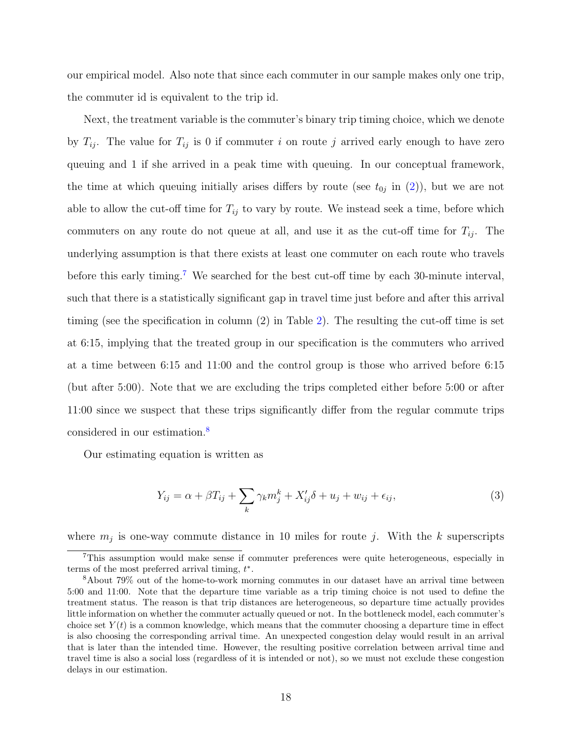our empirical model. Also note that since each commuter in our sample makes only one trip, the commuter id is equivalent to the trip id.

Next, the treatment variable is the commuter's binary trip timing choice, which we denote by  $T_{ij}$ . The value for  $T_{ij}$  is 0 if commuter i on route j arrived early enough to have zero queuing and 1 if she arrived in a peak time with queuing. In our conceptual framework, the time at which queuing initially arises differs by route (see  $t_{0j}$  in [\(2\)](#page-14-2)), but we are not able to allow the cut-off time for  $T_{ij}$  to vary by route. We instead seek a time, before which commuters on any route do not queue at all, and use it as the cut-off time for  $T_{ij}$ . The underlying assumption is that there exists at least one commuter on each route who travels before this early timing.<sup>[7](#page-17-0)</sup> We searched for the best cut-off time by each 30-minute interval, such that there is a statistically significant gap in travel time just before and after this arrival timing (see the specification in column (2) in Table [2\)](#page-45-0). The resulting the cut-off time is set at 6:15, implying that the treated group in our specification is the commuters who arrived at a time between 6:15 and 11:00 and the control group is those who arrived before 6:15 (but after 5:00). Note that we are excluding the trips completed either before 5:00 or after 11:00 since we suspect that these trips significantly differ from the regular commute trips considered in our estimation.[8](#page-17-1)

Our estimating equation is written as

<span id="page-17-2"></span>
$$
Y_{ij} = \alpha + \beta T_{ij} + \sum_{k} \gamma_k m_j^k + X_{ij}' \delta + u_j + w_{ij} + \epsilon_{ij}, \qquad (3)
$$

where  $m_j$  is one-way commute distance in 10 miles for route j. With the k superscripts

<span id="page-17-0"></span><sup>7</sup>This assumption would make sense if commuter preferences were quite heterogeneous, especially in terms of the most preferred arrival timing,  $t^*$ .

<span id="page-17-1"></span><sup>8</sup>About 79% out of the home-to-work morning commutes in our dataset have an arrival time between 5:00 and 11:00. Note that the departure time variable as a trip timing choice is not used to define the treatment status. The reason is that trip distances are heterogeneous, so departure time actually provides little information on whether the commuter actually queued or not. In the bottleneck model, each commuter's choice set  $Y(t)$  is a common knowledge, which means that the commuter choosing a departure time in effect is also choosing the corresponding arrival time. An unexpected congestion delay would result in an arrival that is later than the intended time. However, the resulting positive correlation between arrival time and travel time is also a social loss (regardless of it is intended or not), so we must not exclude these congestion delays in our estimation.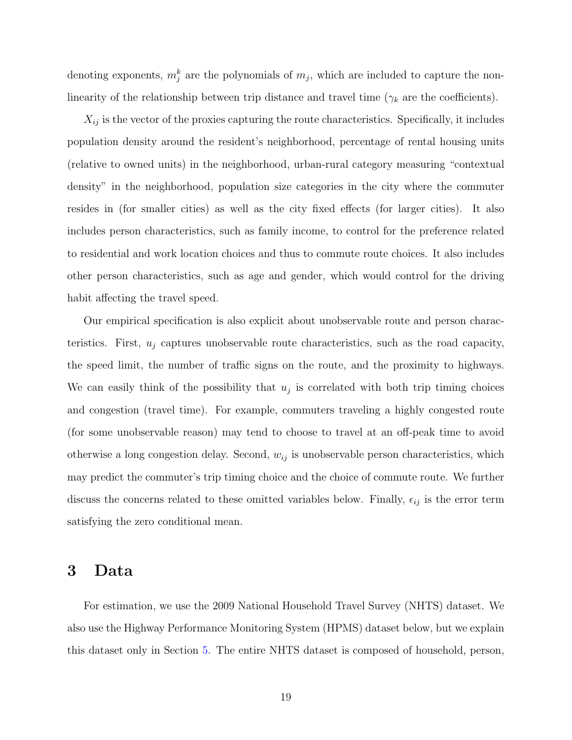denoting exponents,  $m_j^k$  are the polynomials of  $m_j$ , which are included to capture the nonlinearity of the relationship between trip distance and travel time ( $\gamma_k$  are the coefficients).

 $X_{ij}$  is the vector of the proxies capturing the route characteristics. Specifically, it includes population density around the resident's neighborhood, percentage of rental housing units (relative to owned units) in the neighborhood, urban-rural category measuring "contextual density" in the neighborhood, population size categories in the city where the commuter resides in (for smaller cities) as well as the city fixed effects (for larger cities). It also includes person characteristics, such as family income, to control for the preference related to residential and work location choices and thus to commute route choices. It also includes other person characteristics, such as age and gender, which would control for the driving habit affecting the travel speed.

Our empirical specification is also explicit about unobservable route and person characteristics. First,  $u_j$  captures unobservable route characteristics, such as the road capacity, the speed limit, the number of traffic signs on the route, and the proximity to highways. We can easily think of the possibility that  $u_j$  is correlated with both trip timing choices and congestion (travel time). For example, commuters traveling a highly congested route (for some unobservable reason) may tend to choose to travel at an off-peak time to avoid otherwise a long congestion delay. Second,  $w_{ij}$  is unobservable person characteristics, which may predict the commuter's trip timing choice and the choice of commute route. We further discuss the concerns related to these omitted variables below. Finally,  $\epsilon_{ij}$  is the error term satisfying the zero conditional mean.

# <span id="page-18-0"></span>3 Data

For estimation, we use the 2009 National Household Travel Survey (NHTS) dataset. We also use the Highway Performance Monitoring System (HPMS) dataset below, but we explain this dataset only in Section [5.](#page-29-0) The entire NHTS dataset is composed of household, person,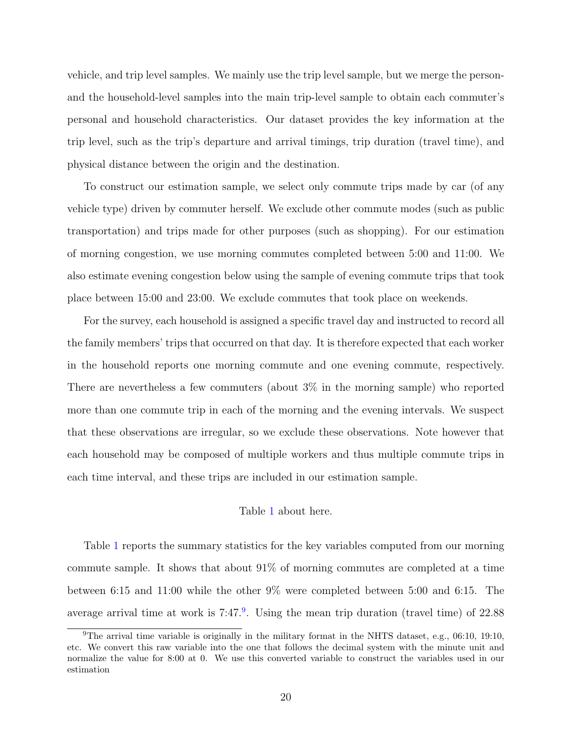vehicle, and trip level samples. We mainly use the trip level sample, but we merge the personand the household-level samples into the main trip-level sample to obtain each commuter's personal and household characteristics. Our dataset provides the key information at the trip level, such as the trip's departure and arrival timings, trip duration (travel time), and physical distance between the origin and the destination.

To construct our estimation sample, we select only commute trips made by car (of any vehicle type) driven by commuter herself. We exclude other commute modes (such as public transportation) and trips made for other purposes (such as shopping). For our estimation of morning congestion, we use morning commutes completed between 5:00 and 11:00. We also estimate evening congestion below using the sample of evening commute trips that took place between 15:00 and 23:00. We exclude commutes that took place on weekends.

For the survey, each household is assigned a specific travel day and instructed to record all the family members' trips that occurred on that day. It is therefore expected that each worker in the household reports one morning commute and one evening commute, respectively. There are nevertheless a few commuters (about 3% in the morning sample) who reported more than one commute trip in each of the morning and the evening intervals. We suspect that these observations are irregular, so we exclude these observations. Note however that each household may be composed of multiple workers and thus multiple commute trips in each time interval, and these trips are included in our estimation sample.

#### Table [1](#page-44-0) about here.

Table [1](#page-44-0) reports the summary statistics for the key variables computed from our morning commute sample. It shows that about 91% of morning commutes are completed at a time between 6:15 and 11:00 while the other 9% were completed between 5:00 and 6:15. The average arrival time at work is  $7:47.^9$  $7:47.^9$ . Using the mean trip duration (travel time) of  $22.88$ 

<span id="page-19-0"></span><sup>9</sup>The arrival time variable is originally in the military format in the NHTS dataset, e.g., 06:10, 19:10, etc. We convert this raw variable into the one that follows the decimal system with the minute unit and normalize the value for 8:00 at 0. We use this converted variable to construct the variables used in our estimation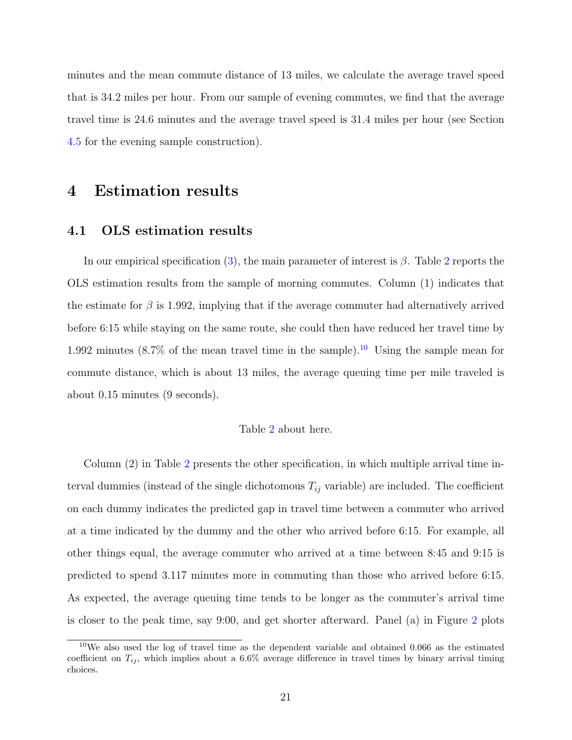minutes and the mean commute distance of 13 miles, we calculate the average travel speed that is 34.2 miles per hour. From our sample of evening commutes, we find that the average travel time is 24.6 minutes and the average travel speed is 31.4 miles per hour (see Section [4.5](#page-27-0) for the evening sample construction).

# <span id="page-20-0"></span>4 Estimation results

## <span id="page-20-1"></span>4.1 OLS estimation results

In our empirical specification [\(3\)](#page-17-2), the main parameter of interest is  $\beta$ . Table [2](#page-45-0) reports the OLS estimation results from the sample of morning commutes. Column (1) indicates that the estimate for  $\beta$  is 1.992, implying that if the average commuter had alternatively arrived before 6:15 while staying on the same route, she could then have reduced her travel time by 1.992 minutes (8.7% of the mean travel time in the sample).<sup>[10](#page-20-2)</sup> Using the sample mean for commute distance, which is about 13 miles, the average queuing time per mile traveled is about 0.15 minutes (9 seconds).

#### Table [2](#page-45-0) about here.

Column (2) in Table [2](#page-45-0) presents the other specification, in which multiple arrival time interval dummies (instead of the single dichotomous  $T_{ij}$  variable) are included. The coefficient on each dummy indicates the predicted gap in travel time between a commuter who arrived at a time indicated by the dummy and the other who arrived before 6:15. For example, all other things equal, the average commuter who arrived at a time between 8:45 and 9:15 is predicted to spend 3.117 minutes more in commuting than those who arrived before 6:15. As expected, the average queuing time tends to be longer as the commuter's arrival time is closer to the peak time, say 9:00, and get shorter afterward. Panel (a) in Figure [2](#page-43-0) plots

<span id="page-20-2"></span><sup>10</sup>We also used the log of travel time as the dependent variable and obtained 0.066 as the estimated coefficient on  $T_{ij}$ , which implies about a 6.6% average difference in travel times by binary arrival timing choices.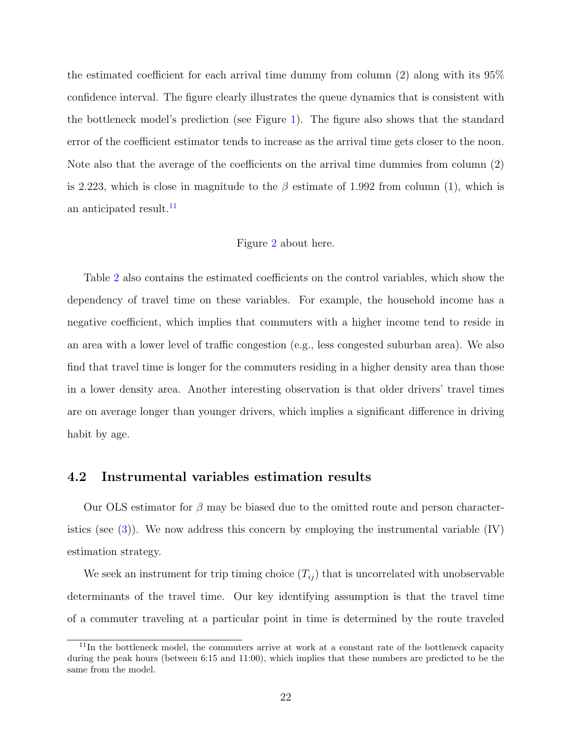the estimated coefficient for each arrival time dummy from column (2) along with its 95% confidence interval. The figure clearly illustrates the queue dynamics that is consistent with the bottleneck model's prediction (see Figure [1\)](#page-42-0). The figure also shows that the standard error of the coefficient estimator tends to increase as the arrival time gets closer to the noon. Note also that the average of the coefficients on the arrival time dummies from column (2) is 2.223, which is close in magnitude to the  $\beta$  estimate of 1.992 from column (1), which is an anticipated result.<sup>[11](#page-21-1)</sup>

#### Figure [2](#page-43-0) about here.

Table [2](#page-45-0) also contains the estimated coefficients on the control variables, which show the dependency of travel time on these variables. For example, the household income has a negative coefficient, which implies that commuters with a higher income tend to reside in an area with a lower level of traffic congestion (e.g., less congested suburban area). We also find that travel time is longer for the commuters residing in a higher density area than those in a lower density area. Another interesting observation is that older drivers' travel times are on average longer than younger drivers, which implies a significant difference in driving habit by age.

## <span id="page-21-0"></span>4.2 Instrumental variables estimation results

Our OLS estimator for  $\beta$  may be biased due to the omitted route and person characteristics (see  $(3)$ ). We now address this concern by employing the instrumental variable  $(IV)$ estimation strategy.

We seek an instrument for trip timing choice  $(T_{ij})$  that is uncorrelated with unobservable determinants of the travel time. Our key identifying assumption is that the travel time of a commuter traveling at a particular point in time is determined by the route traveled

<span id="page-21-1"></span> $11$ In the bottleneck model, the commuters arrive at work at a constant rate of the bottleneck capacity during the peak hours (between 6:15 and 11:00), which implies that these numbers are predicted to be the same from the model.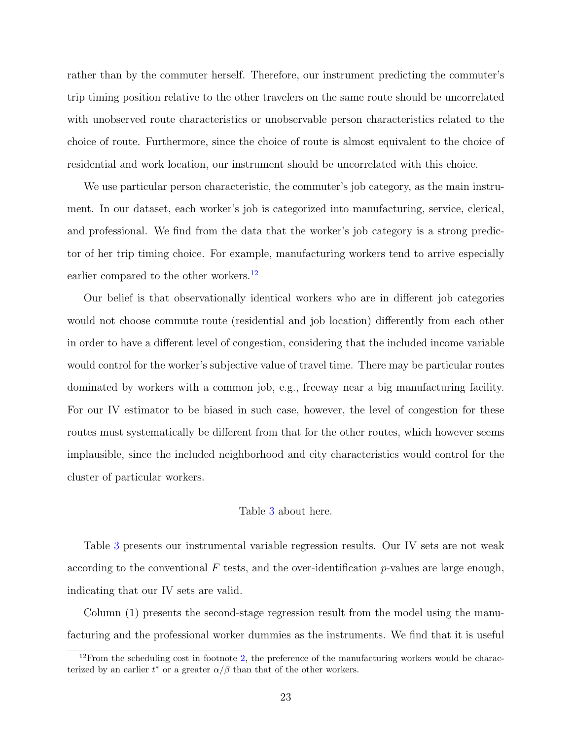rather than by the commuter herself. Therefore, our instrument predicting the commuter's trip timing position relative to the other travelers on the same route should be uncorrelated with unobserved route characteristics or unobservable person characteristics related to the choice of route. Furthermore, since the choice of route is almost equivalent to the choice of residential and work location, our instrument should be uncorrelated with this choice.

We use particular person characteristic, the commuter's job category, as the main instrument. In our dataset, each worker's job is categorized into manufacturing, service, clerical, and professional. We find from the data that the worker's job category is a strong predictor of her trip timing choice. For example, manufacturing workers tend to arrive especially earlier compared to the other workers.<sup>[12](#page-22-0)</sup>

Our belief is that observationally identical workers who are in different job categories would not choose commute route (residential and job location) differently from each other in order to have a different level of congestion, considering that the included income variable would control for the worker's subjective value of travel time. There may be particular routes dominated by workers with a common job, e.g., freeway near a big manufacturing facility. For our IV estimator to be biased in such case, however, the level of congestion for these routes must systematically be different from that for the other routes, which however seems implausible, since the included neighborhood and city characteristics would control for the cluster of particular workers.

#### Table [3](#page-46-0) about here.

Table [3](#page-46-0) presents our instrumental variable regression results. Our IV sets are not weak according to the conventional  $F$  tests, and the over-identification p-values are large enough, indicating that our IV sets are valid.

Column (1) presents the second-stage regression result from the model using the manufacturing and the professional worker dummies as the instruments. We find that it is useful

<span id="page-22-0"></span> $12$ From the scheduling cost in footnote [2,](#page-13-0) the preference of the manufacturing workers would be characterized by an earlier  $t^*$  or a greater  $\alpha/\beta$  than that of the other workers.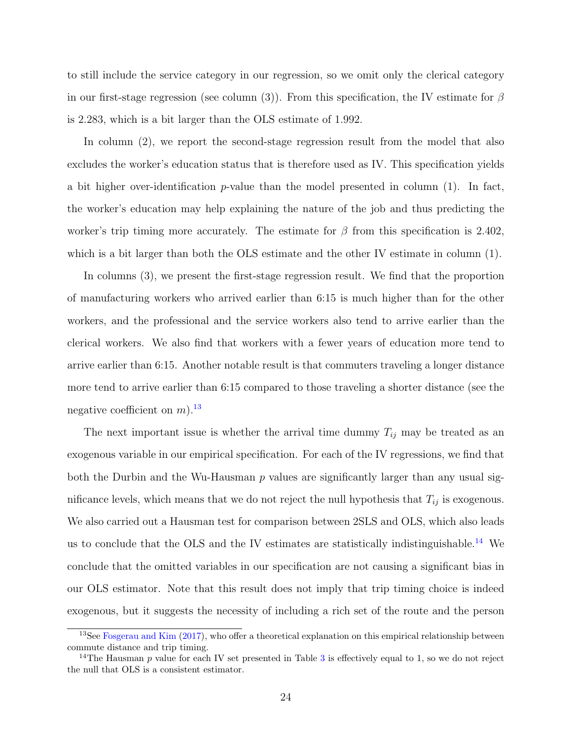to still include the service category in our regression, so we omit only the clerical category in our first-stage regression (see column (3)). From this specification, the IV estimate for  $\beta$ is 2.283, which is a bit larger than the OLS estimate of 1.992.

In column (2), we report the second-stage regression result from the model that also excludes the worker's education status that is therefore used as IV. This specification yields a bit higher over-identification  $p$ -value than the model presented in column  $(1)$ . In fact, the worker's education may help explaining the nature of the job and thus predicting the worker's trip timing more accurately. The estimate for  $\beta$  from this specification is 2.402, which is a bit larger than both the OLS estimate and the other IV estimate in column (1).

In columns (3), we present the first-stage regression result. We find that the proportion of manufacturing workers who arrived earlier than 6:15 is much higher than for the other workers, and the professional and the service workers also tend to arrive earlier than the clerical workers. We also find that workers with a fewer years of education more tend to arrive earlier than 6:15. Another notable result is that commuters traveling a longer distance more tend to arrive earlier than 6:15 compared to those traveling a shorter distance (see the negative coefficient on  $m$ ).<sup>[13](#page-23-0)</sup>

The next important issue is whether the arrival time dummy  $T_{ij}$  may be treated as an exogenous variable in our empirical specification. For each of the IV regressions, we find that both the Durbin and the Wu-Hausman  $p$  values are significantly larger than any usual significance levels, which means that we do not reject the null hypothesis that  $T_{ij}$  is exogenous. We also carried out a Hausman test for comparison between 2SLS and OLS, which also leads us to conclude that the OLS and the IV estimates are statistically indistinguishable.<sup>[14](#page-23-1)</sup> We conclude that the omitted variables in our specification are not causing a significant bias in our OLS estimator. Note that this result does not imply that trip timing choice is indeed exogenous, but it suggests the necessity of including a rich set of the route and the person

<span id="page-23-0"></span> $13$ See [Fosgerau and Kim](#page-40-6) [\(2017\)](#page-40-6), who offer a theoretical explanation on this empirical relationship between commute distance and trip timing.

<span id="page-23-1"></span><sup>&</sup>lt;sup>14</sup>The Hausman p value for each IV set presented in Table [3](#page-46-0) is effectively equal to 1, so we do not reject the null that OLS is a consistent estimator.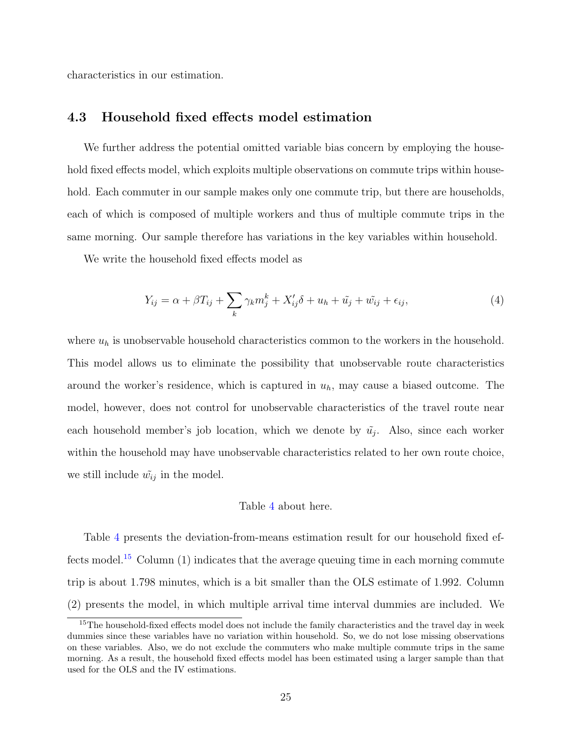characteristics in our estimation.

## <span id="page-24-0"></span>4.3 Household fixed effects model estimation

We further address the potential omitted variable bias concern by employing the household fixed effects model, which exploits multiple observations on commute trips within household. Each commuter in our sample makes only one commute trip, but there are households, each of which is composed of multiple workers and thus of multiple commute trips in the same morning. Our sample therefore has variations in the key variables within household.

We write the household fixed effects model as

$$
Y_{ij} = \alpha + \beta T_{ij} + \sum_{k} \gamma_k m_j^k + X_{ij}' \delta + u_h + \tilde{u}_j + \tilde{w}_{ij} + \epsilon_{ij}, \qquad (4)
$$

where  $u_h$  is unobservable household characteristics common to the workers in the household. This model allows us to eliminate the possibility that unobservable route characteristics around the worker's residence, which is captured in  $u<sub>h</sub>$ , may cause a biased outcome. The model, however, does not control for unobservable characteristics of the travel route near each household member's job location, which we denote by  $\tilde{u}_j$ . Also, since each worker within the household may have unobservable characteristics related to her own route choice, we still include  $\tilde{w_{ij}}$  in the model.

#### Table [4](#page-47-0) about here.

Table [4](#page-47-0) presents the deviation-from-means estimation result for our household fixed ef-fects model.<sup>[15](#page-24-1)</sup> Column  $(1)$  indicates that the average queuing time in each morning commute trip is about 1.798 minutes, which is a bit smaller than the OLS estimate of 1.992. Column (2) presents the model, in which multiple arrival time interval dummies are included. We

<span id="page-24-1"></span><sup>&</sup>lt;sup>15</sup>The household-fixed effects model does not include the family characteristics and the travel day in week dummies since these variables have no variation within household. So, we do not lose missing observations on these variables. Also, we do not exclude the commuters who make multiple commute trips in the same morning. As a result, the household fixed effects model has been estimated using a larger sample than that used for the OLS and the IV estimations.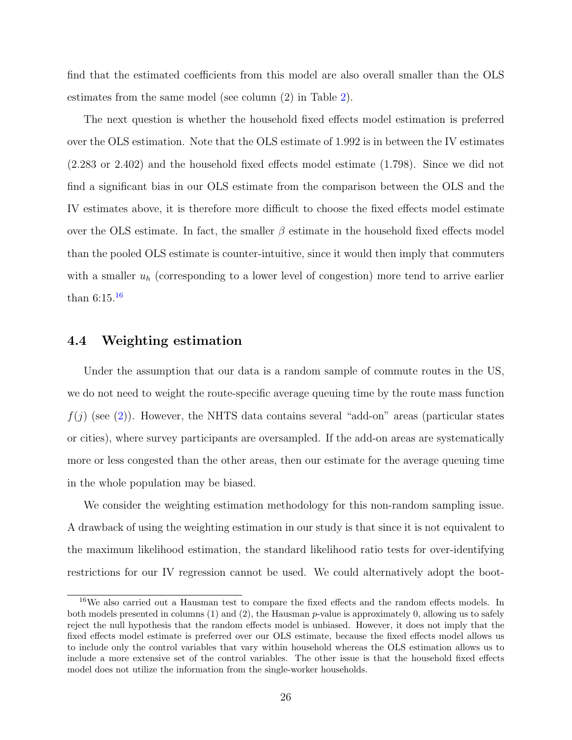find that the estimated coefficients from this model are also overall smaller than the OLS estimates from the same model (see column (2) in Table [2\)](#page-45-0).

The next question is whether the household fixed effects model estimation is preferred over the OLS estimation. Note that the OLS estimate of 1.992 is in between the IV estimates (2.283 or 2.402) and the household fixed effects model estimate (1.798). Since we did not find a significant bias in our OLS estimate from the comparison between the OLS and the IV estimates above, it is therefore more difficult to choose the fixed effects model estimate over the OLS estimate. In fact, the smaller  $\beta$  estimate in the household fixed effects model than the pooled OLS estimate is counter-intuitive, since it would then imply that commuters with a smaller  $u_h$  (corresponding to a lower level of congestion) more tend to arrive earlier than 6:15.[16](#page-25-1)

## <span id="page-25-0"></span>4.4 Weighting estimation

Under the assumption that our data is a random sample of commute routes in the US, we do not need to weight the route-specific average queuing time by the route mass function  $f(j)$  (see [\(2\)](#page-14-2)). However, the NHTS data contains several "add-on" areas (particular states or cities), where survey participants are oversampled. If the add-on areas are systematically more or less congested than the other areas, then our estimate for the average queuing time in the whole population may be biased.

We consider the weighting estimation methodology for this non-random sampling issue. A drawback of using the weighting estimation in our study is that since it is not equivalent to the maximum likelihood estimation, the standard likelihood ratio tests for over-identifying restrictions for our IV regression cannot be used. We could alternatively adopt the boot-

<span id="page-25-1"></span><sup>&</sup>lt;sup>16</sup>We also carried out a Hausman test to compare the fixed effects and the random effects models. In both models presented in columns (1) and (2), the Hausman p-value is approximately 0, allowing us to safely reject the null hypothesis that the random effects model is unbiased. However, it does not imply that the fixed effects model estimate is preferred over our OLS estimate, because the fixed effects model allows us to include only the control variables that vary within household whereas the OLS estimation allows us to include a more extensive set of the control variables. The other issue is that the household fixed effects model does not utilize the information from the single-worker households.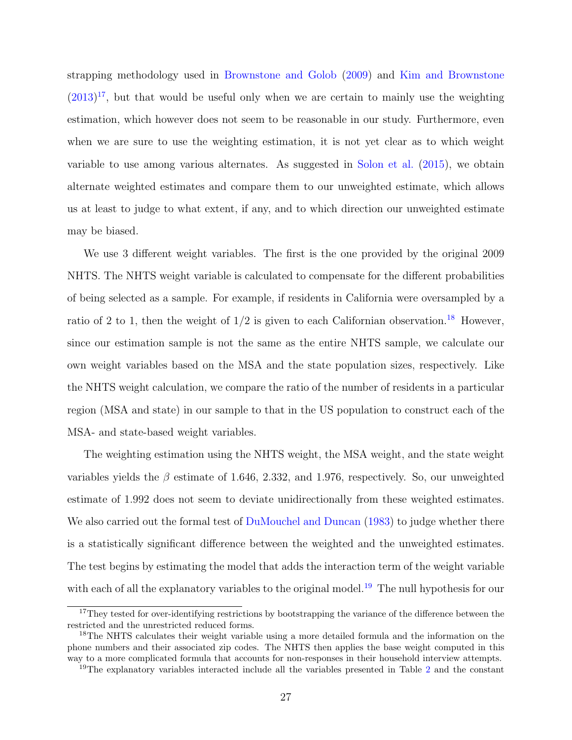strapping methodology used in [Brownstone and Golob](#page-39-8) [\(2009\)](#page-39-8) and [Kim and Brownstone](#page-40-7)  $(2013)^{17}$  $(2013)^{17}$  $(2013)^{17}$  $(2013)^{17}$ , but that would be useful only when we are certain to mainly use the weighting estimation, which however does not seem to be reasonable in our study. Furthermore, even when we are sure to use the weighting estimation, it is not yet clear as to which weight variable to use among various alternates. As suggested in [Solon et al.](#page-40-8) [\(2015\)](#page-40-8), we obtain alternate weighted estimates and compare them to our unweighted estimate, which allows us at least to judge to what extent, if any, and to which direction our unweighted estimate may be biased.

We use 3 different weight variables. The first is the one provided by the original 2009 NHTS. The NHTS weight variable is calculated to compensate for the different probabilities of being selected as a sample. For example, if residents in California were oversampled by a ratio of 2 to 1, then the weight of  $1/2$  is given to each Californian observation.<sup>[18](#page-26-1)</sup> However, since our estimation sample is not the same as the entire NHTS sample, we calculate our own weight variables based on the MSA and the state population sizes, respectively. Like the NHTS weight calculation, we compare the ratio of the number of residents in a particular region (MSA and state) in our sample to that in the US population to construct each of the MSA- and state-based weight variables.

The weighting estimation using the NHTS weight, the MSA weight, and the state weight variables yields the  $\beta$  estimate of 1.646, 2.332, and 1.976, respectively. So, our unweighted estimate of 1.992 does not seem to deviate unidirectionally from these weighted estimates. We also carried out the formal test of [DuMouchel and Duncan](#page-39-9) [\(1983\)](#page-39-9) to judge whether there is a statistically significant difference between the weighted and the unweighted estimates. The test begins by estimating the model that adds the interaction term of the weight variable with each of all the explanatory variables to the original model.<sup>[19](#page-26-2)</sup> The null hypothesis for our

<span id="page-26-0"></span><sup>&</sup>lt;sup>17</sup>They tested for over-identifying restrictions by bootstrapping the variance of the difference between the restricted and the unrestricted reduced forms.

<span id="page-26-1"></span><sup>&</sup>lt;sup>18</sup>The NHTS calculates their weight variable using a more detailed formula and the information on the phone numbers and their associated zip codes. The NHTS then applies the base weight computed in this way to a more complicated formula that accounts for non-responses in their household interview attempts.

<span id="page-26-2"></span><sup>&</sup>lt;sup>19</sup>The explanatory variables interacted include all the variables presented in Table [2](#page-45-0) and the constant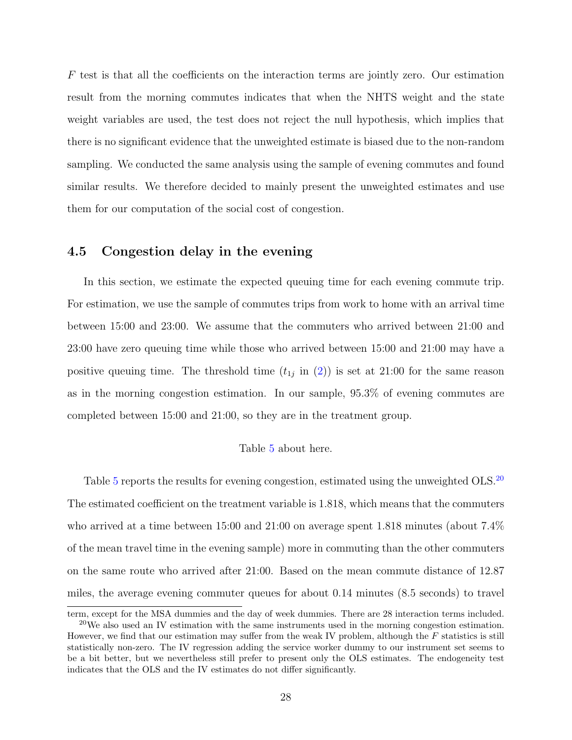$F$  test is that all the coefficients on the interaction terms are jointly zero. Our estimation result from the morning commutes indicates that when the NHTS weight and the state weight variables are used, the test does not reject the null hypothesis, which implies that there is no significant evidence that the unweighted estimate is biased due to the non-random sampling. We conducted the same analysis using the sample of evening commutes and found similar results. We therefore decided to mainly present the unweighted estimates and use them for our computation of the social cost of congestion.

# <span id="page-27-0"></span>4.5 Congestion delay in the evening

In this section, we estimate the expected queuing time for each evening commute trip. For estimation, we use the sample of commutes trips from work to home with an arrival time between 15:00 and 23:00. We assume that the commuters who arrived between 21:00 and 23:00 have zero queuing time while those who arrived between 15:00 and 21:00 may have a positive queuing time. The threshold time  $(t_{1j}$  in  $(2))$  $(2))$  is set at 21:00 for the same reason as in the morning congestion estimation. In our sample, 95.3% of evening commutes are completed between 15:00 and 21:00, so they are in the treatment group.

#### Table [5](#page-48-0) about here.

Table [5](#page-48-0) reports the results for evening congestion, estimated using the unweighted OLS.<sup>[20](#page-27-1)</sup> The estimated coefficient on the treatment variable is 1.818, which means that the commuters who arrived at a time between 15:00 and 21:00 on average spent 1.818 minutes (about 7.4% of the mean travel time in the evening sample) more in commuting than the other commuters on the same route who arrived after 21:00. Based on the mean commute distance of 12.87 miles, the average evening commuter queues for about 0.14 minutes (8.5 seconds) to travel

<span id="page-27-1"></span>term, except for the MSA dummies and the day of week dummies. There are 28 interaction terms included.  $^{20}$ We also used an IV estimation with the same instruments used in the morning congestion estimation. However, we find that our estimation may suffer from the weak IV problem, although the F statistics is still statistically non-zero. The IV regression adding the service worker dummy to our instrument set seems to be a bit better, but we nevertheless still prefer to present only the OLS estimates. The endogeneity test indicates that the OLS and the IV estimates do not differ significantly.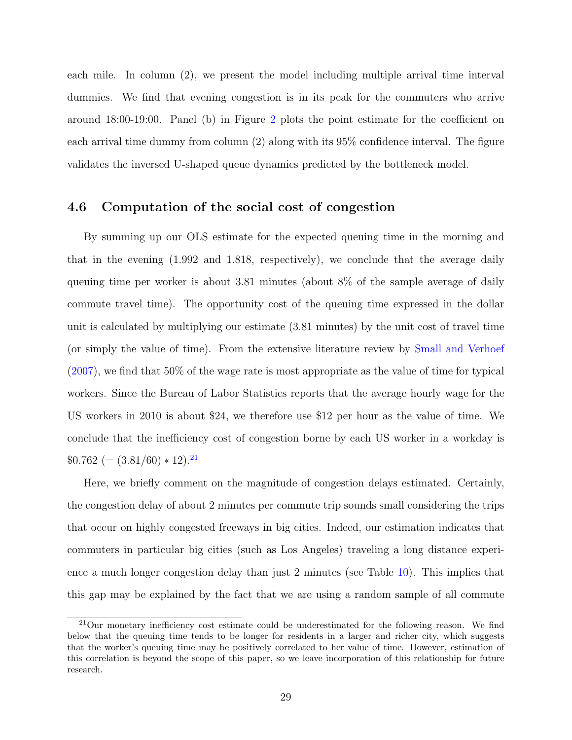each mile. In column (2), we present the model including multiple arrival time interval dummies. We find that evening congestion is in its peak for the commuters who arrive around 18:00-19:00. Panel (b) in Figure [2](#page-43-0) plots the point estimate for the coefficient on each arrival time dummy from column (2) along with its 95% confidence interval. The figure validates the inversed U-shaped queue dynamics predicted by the bottleneck model.

## <span id="page-28-0"></span>4.6 Computation of the social cost of congestion

By summing up our OLS estimate for the expected queuing time in the morning and that in the evening (1.992 and 1.818, respectively), we conclude that the average daily queuing time per worker is about 3.81 minutes (about 8% of the sample average of daily commute travel time). The opportunity cost of the queuing time expressed in the dollar unit is calculated by multiplying our estimate (3.81 minutes) by the unit cost of travel time (or simply the value of time). From the extensive literature review by [Small and Verhoef](#page-40-9) [\(2007\)](#page-40-9), we find that 50% of the wage rate is most appropriate as the value of time for typical workers. Since the Bureau of Labor Statistics reports that the average hourly wage for the US workers in 2010 is about \$24, we therefore use \$12 per hour as the value of time. We conclude that the inefficiency cost of congestion borne by each US worker in a workday is  $$0.762 (= (3.81/60) * 12).$ <sup>[21](#page-28-1)</sup>

Here, we briefly comment on the magnitude of congestion delays estimated. Certainly, the congestion delay of about 2 minutes per commute trip sounds small considering the trips that occur on highly congested freeways in big cities. Indeed, our estimation indicates that commuters in particular big cities (such as Los Angeles) traveling a long distance experience a much longer congestion delay than just 2 minutes (see Table [10\)](#page-51-1). This implies that this gap may be explained by the fact that we are using a random sample of all commute

<span id="page-28-1"></span><sup>&</sup>lt;sup>21</sup>Our monetary inefficiency cost estimate could be underestimated for the following reason. We find below that the queuing time tends to be longer for residents in a larger and richer city, which suggests that the worker's queuing time may be positively correlated to her value of time. However, estimation of this correlation is beyond the scope of this paper, so we leave incorporation of this relationship for future research.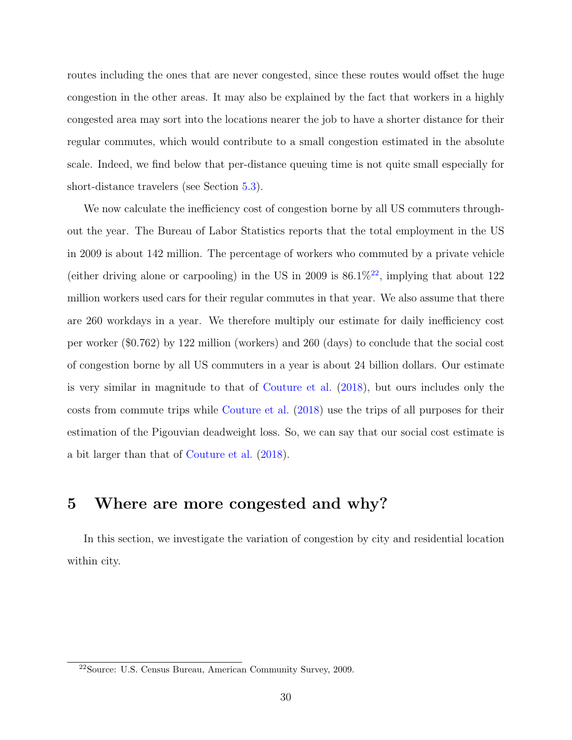routes including the ones that are never congested, since these routes would offset the huge congestion in the other areas. It may also be explained by the fact that workers in a highly congested area may sort into the locations nearer the job to have a shorter distance for their regular commutes, which would contribute to a small congestion estimated in the absolute scale. Indeed, we find below that per-distance queuing time is not quite small especially for short-distance travelers (see Section [5.3\)](#page-34-0).

We now calculate the inefficiency cost of congestion borne by all US commuters throughout the year. The Bureau of Labor Statistics reports that the total employment in the US in 2009 is about 142 million. The percentage of workers who commuted by a private vehicle (either driving alone or carpooling) in the US in 2009 is  $86.1\%^{22}$  $86.1\%^{22}$  $86.1\%^{22}$ , implying that about 122 million workers used cars for their regular commutes in that year. We also assume that there are 260 workdays in a year. We therefore multiply our estimate for daily inefficiency cost per worker (\$0.762) by 122 million (workers) and 260 (days) to conclude that the social cost of congestion borne by all US commuters in a year is about 24 billion dollars. Our estimate is very similar in magnitude to that of [Couture et al.](#page-39-4) [\(2018\)](#page-39-4), but ours includes only the costs from commute trips while [Couture et al.](#page-39-4) [\(2018\)](#page-39-4) use the trips of all purposes for their estimation of the Pigouvian deadweight loss. So, we can say that our social cost estimate is a bit larger than that of [Couture et al.](#page-39-4) [\(2018\)](#page-39-4).

# <span id="page-29-0"></span>5 Where are more congested and why?

In this section, we investigate the variation of congestion by city and residential location within city.

<span id="page-29-1"></span><sup>22</sup>Source: U.S. Census Bureau, American Community Survey, 2009.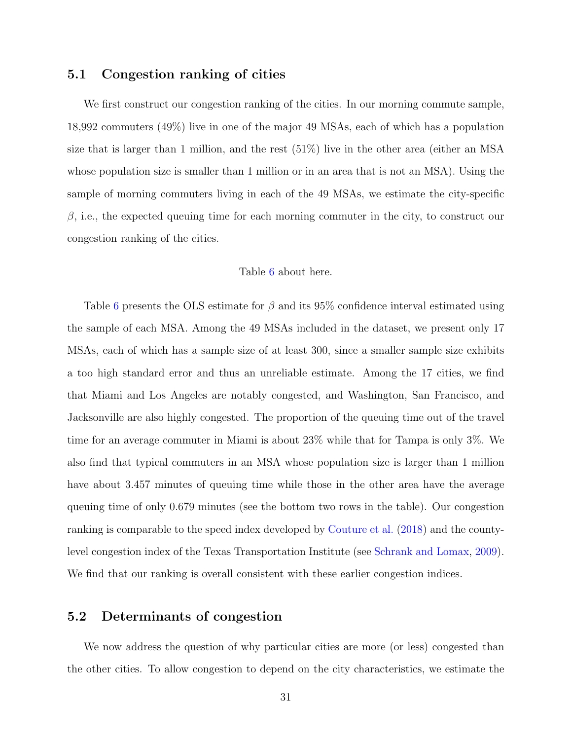## <span id="page-30-0"></span>5.1 Congestion ranking of cities

We first construct our congestion ranking of the cities. In our morning commute sample, 18,992 commuters (49%) live in one of the major 49 MSAs, each of which has a population size that is larger than 1 million, and the rest (51%) live in the other area (either an MSA whose population size is smaller than 1 million or in an area that is not an MSA). Using the sample of morning commuters living in each of the 49 MSAs, we estimate the city-specific  $\beta$ , i.e., the expected queuing time for each morning commuter in the city, to construct our congestion ranking of the cities.

#### Table [6](#page-49-0) about here.

Table [6](#page-49-0) presents the OLS estimate for  $\beta$  and its 95% confidence interval estimated using the sample of each MSA. Among the 49 MSAs included in the dataset, we present only 17 MSAs, each of which has a sample size of at least 300, since a smaller sample size exhibits a too high standard error and thus an unreliable estimate. Among the 17 cities, we find that Miami and Los Angeles are notably congested, and Washington, San Francisco, and Jacksonville are also highly congested. The proportion of the queuing time out of the travel time for an average commuter in Miami is about 23% while that for Tampa is only 3%. We also find that typical commuters in an MSA whose population size is larger than 1 million have about 3.457 minutes of queuing time while those in the other area have the average queuing time of only 0.679 minutes (see the bottom two rows in the table). Our congestion ranking is comparable to the speed index developed by [Couture et al.](#page-39-4) [\(2018\)](#page-39-4) and the countylevel congestion index of the Texas Transportation Institute (see [Schrank and Lomax,](#page-40-10) [2009\)](#page-40-10). We find that our ranking is overall consistent with these earlier congestion indices.

### <span id="page-30-1"></span>5.2 Determinants of congestion

We now address the question of why particular cities are more (or less) congested than the other cities. To allow congestion to depend on the city characteristics, we estimate the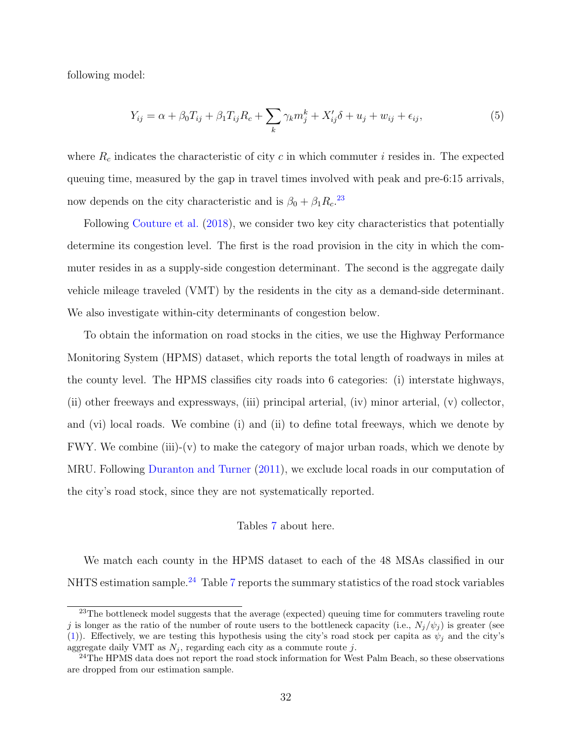following model:

<span id="page-31-2"></span>
$$
Y_{ij} = \alpha + \beta_0 T_{ij} + \beta_1 T_{ij} R_c + \sum_k \gamma_k m_j^k + X_{ij}' \delta + u_j + w_{ij} + \epsilon_{ij},\tag{5}
$$

where  $R_c$  indicates the characteristic of city c in which commuter i resides in. The expected queuing time, measured by the gap in travel times involved with peak and pre-6:15 arrivals, now depends on the city characteristic and is  $\beta_0 + \beta_1 R_c$ <sup>[23](#page-31-0)</sup>

Following [Couture et al.](#page-39-4) [\(2018\)](#page-39-4), we consider two key city characteristics that potentially determine its congestion level. The first is the road provision in the city in which the commuter resides in as a supply-side congestion determinant. The second is the aggregate daily vehicle mileage traveled (VMT) by the residents in the city as a demand-side determinant. We also investigate within-city determinants of congestion below.

To obtain the information on road stocks in the cities, we use the Highway Performance Monitoring System (HPMS) dataset, which reports the total length of roadways in miles at the county level. The HPMS classifies city roads into 6 categories: (i) interstate highways, (ii) other freeways and expressways, (iii) principal arterial, (iv) minor arterial, (v) collector, and (vi) local roads. We combine (i) and (ii) to define total freeways, which we denote by FWY. We combine (iii)-(v) to make the category of major urban roads, which we denote by MRU. Following [Duranton and Turner](#page-40-11) [\(2011\)](#page-40-11), we exclude local roads in our computation of the city's road stock, since they are not systematically reported.

#### Tables [7](#page-49-1) about here.

We match each county in the HPMS dataset to each of the 48 MSAs classified in our NHTS estimation sample.<sup>[24](#page-31-1)</sup> Table [7](#page-49-1) reports the summary statistics of the road stock variables

<span id="page-31-0"></span> $^{23}$ The bottleneck model suggests that the average (expected) queuing time for commuters traveling route j is longer as the ratio of the number of route users to the bottleneck capacity (i.e.,  $N_j/\psi_j$ ) is greater (see [\(1\)](#page-14-1)). Effectively, we are testing this hypothesis using the city's road stock per capita as  $\psi_j$  and the city's aggregate daily VMT as  $N_j$ , regarding each city as a commute route j.

<span id="page-31-1"></span> $^{24}$ The HPMS data does not report the road stock information for West Palm Beach, so these observations are dropped from our estimation sample.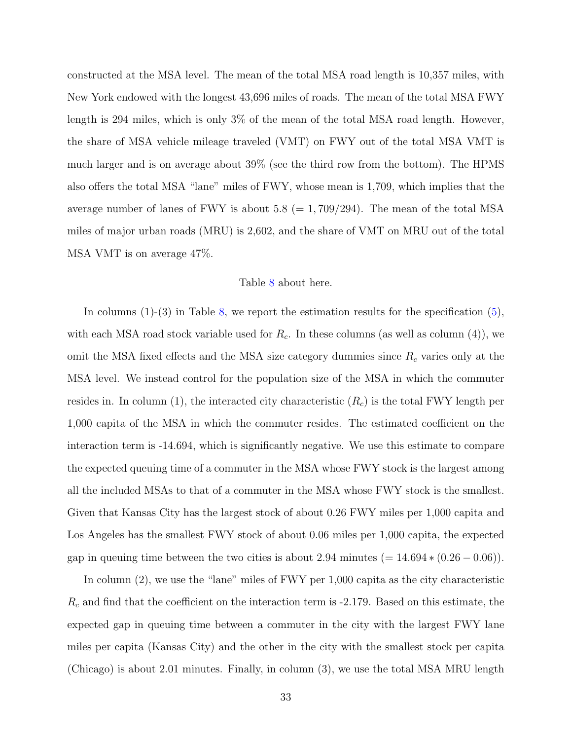constructed at the MSA level. The mean of the total MSA road length is 10,357 miles, with New York endowed with the longest 43,696 miles of roads. The mean of the total MSA FWY length is 294 miles, which is only 3% of the mean of the total MSA road length. However, the share of MSA vehicle mileage traveled (VMT) on FWY out of the total MSA VMT is much larger and is on average about 39% (see the third row from the bottom). The HPMS also offers the total MSA "lane" miles of FWY, whose mean is 1,709, which implies that the average number of lanes of FWY is about  $5.8 = 1,709/294$ . The mean of the total MSA miles of major urban roads (MRU) is 2,602, and the share of VMT on MRU out of the total MSA VMT is on average 47%.

#### Table [8](#page-50-0) about here.

In columns (1)-(3) in Table [8,](#page-50-0) we report the estimation results for the specification [\(5\)](#page-31-2), with each MSA road stock variable used for  $R_c$ . In these columns (as well as column (4)), we omit the MSA fixed effects and the MSA size category dummies since  $R_c$  varies only at the MSA level. We instead control for the population size of the MSA in which the commuter resides in. In column (1), the interacted city characteristic  $(R_c)$  is the total FWY length per 1,000 capita of the MSA in which the commuter resides. The estimated coefficient on the interaction term is -14.694, which is significantly negative. We use this estimate to compare the expected queuing time of a commuter in the MSA whose FWY stock is the largest among all the included MSAs to that of a commuter in the MSA whose FWY stock is the smallest. Given that Kansas City has the largest stock of about 0.26 FWY miles per 1,000 capita and Los Angeles has the smallest FWY stock of about 0.06 miles per 1,000 capita, the expected gap in queuing time between the two cities is about 2.94 minutes (=  $14.694 * (0.26 - 0.06)$ ).

In column  $(2)$ , we use the "lane" miles of FWY per 1,000 capita as the city characteristic  $R_c$  and find that the coefficient on the interaction term is -2.179. Based on this estimate, the expected gap in queuing time between a commuter in the city with the largest FWY lane miles per capita (Kansas City) and the other in the city with the smallest stock per capita (Chicago) is about 2.01 minutes. Finally, in column (3), we use the total MSA MRU length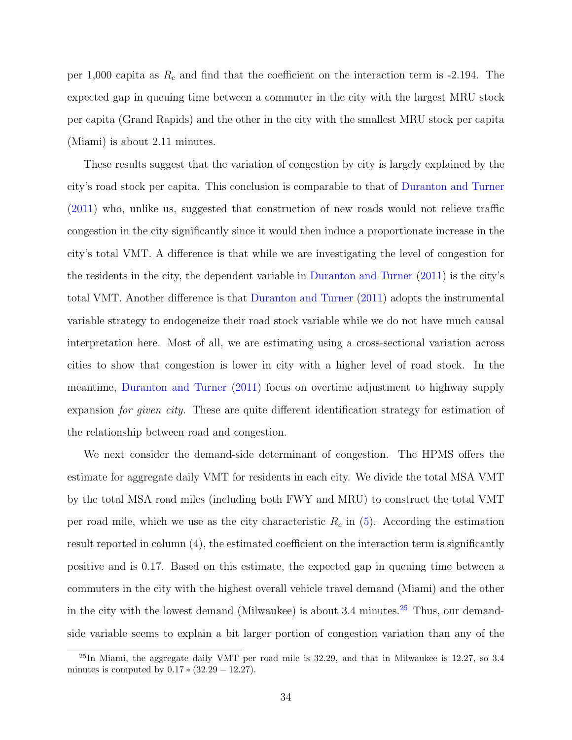per 1,000 capita as  $R_c$  and find that the coefficient on the interaction term is -2.194. The expected gap in queuing time between a commuter in the city with the largest MRU stock per capita (Grand Rapids) and the other in the city with the smallest MRU stock per capita (Miami) is about 2.11 minutes.

These results suggest that the variation of congestion by city is largely explained by the city's road stock per capita. This conclusion is comparable to that of [Duranton and Turner](#page-40-11) [\(2011\)](#page-40-11) who, unlike us, suggested that construction of new roads would not relieve traffic congestion in the city significantly since it would then induce a proportionate increase in the city's total VMT. A difference is that while we are investigating the level of congestion for the residents in the city, the dependent variable in [Duranton and Turner](#page-40-11) [\(2011\)](#page-40-11) is the city's total VMT. Another difference is that [Duranton and Turner](#page-40-11) [\(2011\)](#page-40-11) adopts the instrumental variable strategy to endogeneize their road stock variable while we do not have much causal interpretation here. Most of all, we are estimating using a cross-sectional variation across cities to show that congestion is lower in city with a higher level of road stock. In the meantime, [Duranton and Turner](#page-40-11) [\(2011\)](#page-40-11) focus on overtime adjustment to highway supply expansion *for given city*. These are quite different identification strategy for estimation of the relationship between road and congestion.

We next consider the demand-side determinant of congestion. The HPMS offers the estimate for aggregate daily VMT for residents in each city. We divide the total MSA VMT by the total MSA road miles (including both FWY and MRU) to construct the total VMT per road mile, which we use as the city characteristic  $R_c$  in [\(5\)](#page-31-2). According the estimation result reported in column  $(4)$ , the estimated coefficient on the interaction term is significantly positive and is 0.17. Based on this estimate, the expected gap in queuing time between a commuters in the city with the highest overall vehicle travel demand (Miami) and the other in the city with the lowest demand (Milwaukee) is about  $3.4$  minutes.<sup>[25](#page-33-0)</sup> Thus, our demandside variable seems to explain a bit larger portion of congestion variation than any of the

<span id="page-33-0"></span> $^{25}$ In Miami, the aggregate daily VMT per road mile is 32.29, and that in Milwaukee is 12.27, so 3.4 minutes is computed by  $0.17 * (32.29 - 12.27)$ .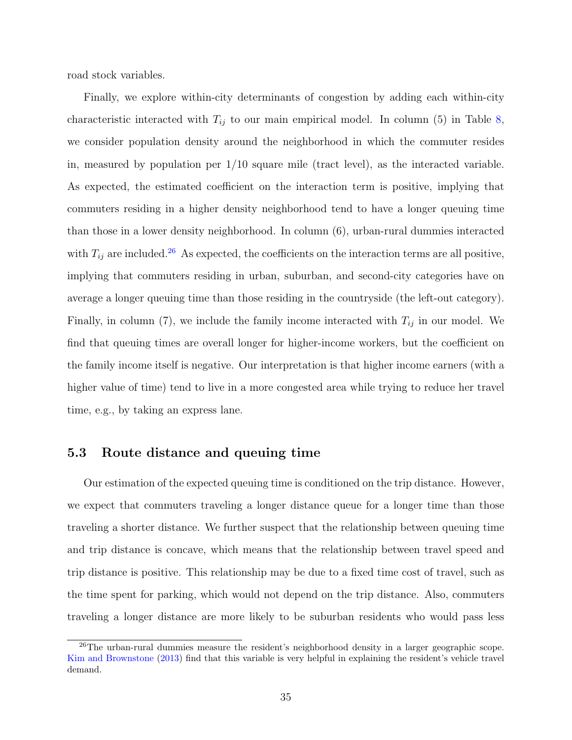road stock variables.

Finally, we explore within-city determinants of congestion by adding each within-city characteristic interacted with  $T_{ij}$  to our main empirical model. In column (5) in Table [8,](#page-50-0) we consider population density around the neighborhood in which the commuter resides in, measured by population per  $1/10$  square mile (tract level), as the interacted variable. As expected, the estimated coefficient on the interaction term is positive, implying that commuters residing in a higher density neighborhood tend to have a longer queuing time than those in a lower density neighborhood. In column (6), urban-rural dummies interacted with  $T_{ij}$  are included.<sup>[26](#page-34-1)</sup> As expected, the coefficients on the interaction terms are all positive, implying that commuters residing in urban, suburban, and second-city categories have on average a longer queuing time than those residing in the countryside (the left-out category). Finally, in column (7), we include the family income interacted with  $T_{ij}$  in our model. We find that queuing times are overall longer for higher-income workers, but the coefficient on the family income itself is negative. Our interpretation is that higher income earners (with a higher value of time) tend to live in a more congested area while trying to reduce her travel time, e.g., by taking an express lane.

## <span id="page-34-0"></span>5.3 Route distance and queuing time

Our estimation of the expected queuing time is conditioned on the trip distance. However, we expect that commuters traveling a longer distance queue for a longer time than those traveling a shorter distance. We further suspect that the relationship between queuing time and trip distance is concave, which means that the relationship between travel speed and trip distance is positive. This relationship may be due to a fixed time cost of travel, such as the time spent for parking, which would not depend on the trip distance. Also, commuters traveling a longer distance are more likely to be suburban residents who would pass less

<span id="page-34-1"></span><sup>&</sup>lt;sup>26</sup>The urban-rural dummies measure the resident's neighborhood density in a larger geographic scope. [Kim and Brownstone](#page-40-7) [\(2013\)](#page-40-7) find that this variable is very helpful in explaining the resident's vehicle travel demand.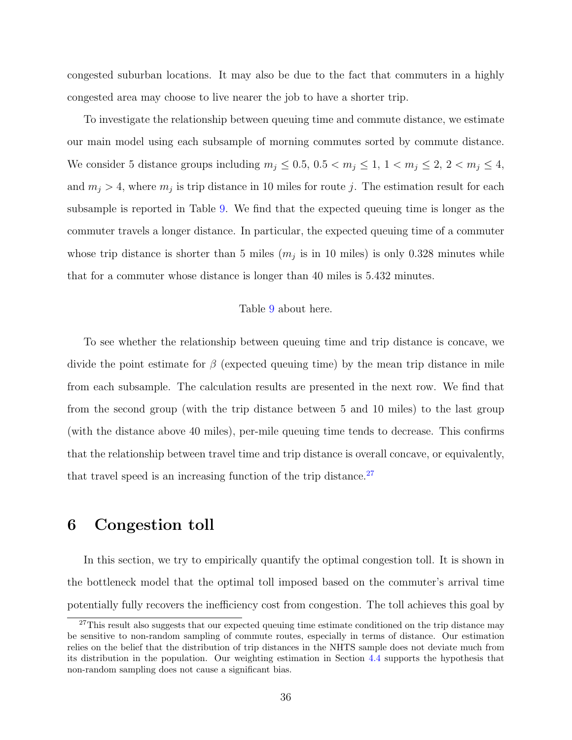congested suburban locations. It may also be due to the fact that commuters in a highly congested area may choose to live nearer the job to have a shorter trip.

To investigate the relationship between queuing time and commute distance, we estimate our main model using each subsample of morning commutes sorted by commute distance. We consider 5 distance groups including  $m_j \leq 0.5, 0.5 < m_j \leq 1, 1 < m_j \leq 2, 2 < m_j \leq 4$ , and  $m_j > 4$ , where  $m_j$  is trip distance in 10 miles for route j. The estimation result for each subsample is reported in Table [9.](#page-51-0) We find that the expected queuing time is longer as the commuter travels a longer distance. In particular, the expected queuing time of a commuter whose trip distance is shorter than 5 miles  $(m_j$  is in 10 miles) is only 0.328 minutes while that for a commuter whose distance is longer than 40 miles is 5.432 minutes.

#### Table [9](#page-51-0) about here.

To see whether the relationship between queuing time and trip distance is concave, we divide the point estimate for  $\beta$  (expected queuing time) by the mean trip distance in mile from each subsample. The calculation results are presented in the next row. We find that from the second group (with the trip distance between 5 and 10 miles) to the last group (with the distance above 40 miles), per-mile queuing time tends to decrease. This confirms that the relationship between travel time and trip distance is overall concave, or equivalently, that travel speed is an increasing function of the trip distance. $27$ 

# <span id="page-35-0"></span>6 Congestion toll

In this section, we try to empirically quantify the optimal congestion toll. It is shown in the bottleneck model that the optimal toll imposed based on the commuter's arrival time potentially fully recovers the inefficiency cost from congestion. The toll achieves this goal by

<span id="page-35-1"></span><sup>&</sup>lt;sup>27</sup>This result also suggests that our expected queuing time estimate conditioned on the trip distance may be sensitive to non-random sampling of commute routes, especially in terms of distance. Our estimation relies on the belief that the distribution of trip distances in the NHTS sample does not deviate much from its distribution in the population. Our weighting estimation in Section [4.4](#page-25-0) supports the hypothesis that non-random sampling does not cause a significant bias.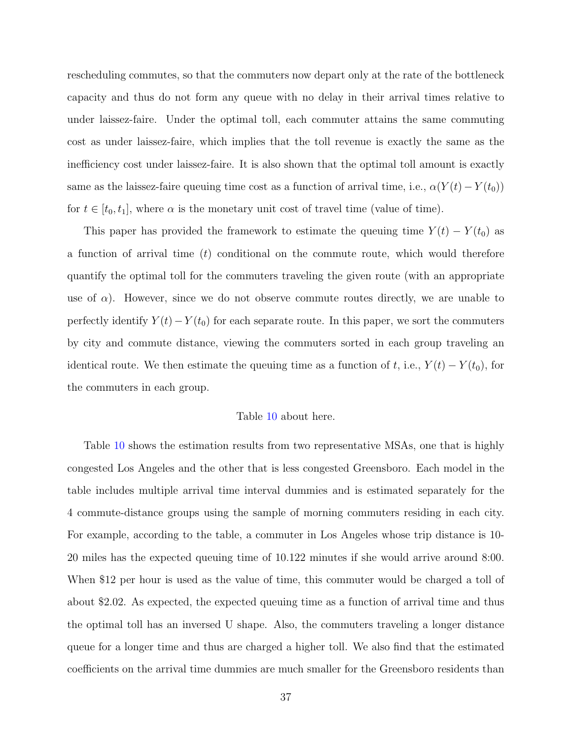rescheduling commutes, so that the commuters now depart only at the rate of the bottleneck capacity and thus do not form any queue with no delay in their arrival times relative to under laissez-faire. Under the optimal toll, each commuter attains the same commuting cost as under laissez-faire, which implies that the toll revenue is exactly the same as the inefficiency cost under laissez-faire. It is also shown that the optimal toll amount is exactly same as the laissez-faire queuing time cost as a function of arrival time, i.e.,  $\alpha(Y(t) - Y(t_0))$ for  $t \in [t_0, t_1]$ , where  $\alpha$  is the monetary unit cost of travel time (value of time).

This paper has provided the framework to estimate the queuing time  $Y(t) - Y(t_0)$  as a function of arrival time  $(t)$  conditional on the commute route, which would therefore quantify the optimal toll for the commuters traveling the given route (with an appropriate use of  $\alpha$ ). However, since we do not observe commute routes directly, we are unable to perfectly identify  $Y(t) - Y(t_0)$  for each separate route. In this paper, we sort the commuters by city and commute distance, viewing the commuters sorted in each group traveling an identical route. We then estimate the queuing time as a function of t, i.e.,  $Y(t) - Y(t_0)$ , for the commuters in each group.

#### Table [10](#page-51-1) about here.

Table [10](#page-51-1) shows the estimation results from two representative MSAs, one that is highly congested Los Angeles and the other that is less congested Greensboro. Each model in the table includes multiple arrival time interval dummies and is estimated separately for the 4 commute-distance groups using the sample of morning commuters residing in each city. For example, according to the table, a commuter in Los Angeles whose trip distance is 10- 20 miles has the expected queuing time of 10.122 minutes if she would arrive around 8:00. When \$12 per hour is used as the value of time, this commuter would be charged a toll of about \$2.02. As expected, the expected queuing time as a function of arrival time and thus the optimal toll has an inversed U shape. Also, the commuters traveling a longer distance queue for a longer time and thus are charged a higher toll. We also find that the estimated coefficients on the arrival time dummies are much smaller for the Greensboro residents than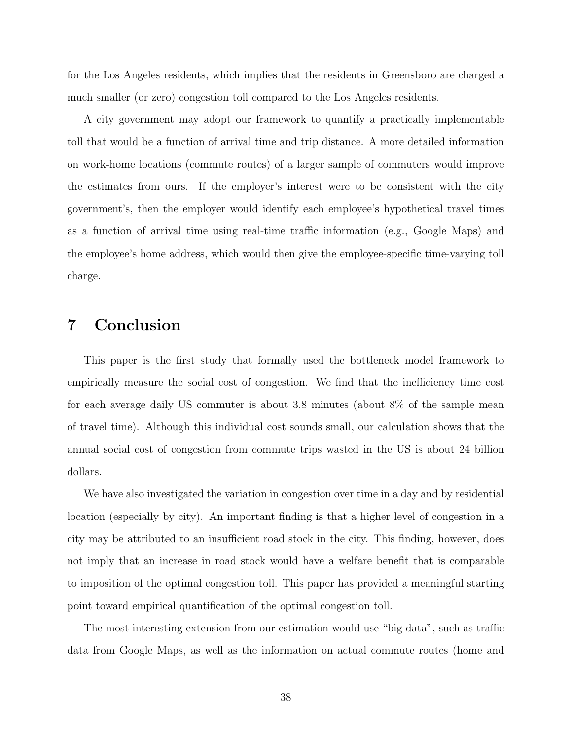for the Los Angeles residents, which implies that the residents in Greensboro are charged a much smaller (or zero) congestion toll compared to the Los Angeles residents.

A city government may adopt our framework to quantify a practically implementable toll that would be a function of arrival time and trip distance. A more detailed information on work-home locations (commute routes) of a larger sample of commuters would improve the estimates from ours. If the employer's interest were to be consistent with the city government's, then the employer would identify each employee's hypothetical travel times as a function of arrival time using real-time traffic information (e.g., Google Maps) and the employee's home address, which would then give the employee-specific time-varying toll charge.

# <span id="page-37-0"></span>7 Conclusion

This paper is the first study that formally used the bottleneck model framework to empirically measure the social cost of congestion. We find that the inefficiency time cost for each average daily US commuter is about 3.8 minutes (about 8% of the sample mean of travel time). Although this individual cost sounds small, our calculation shows that the annual social cost of congestion from commute trips wasted in the US is about 24 billion dollars.

We have also investigated the variation in congestion over time in a day and by residential location (especially by city). An important finding is that a higher level of congestion in a city may be attributed to an insufficient road stock in the city. This finding, however, does not imply that an increase in road stock would have a welfare benefit that is comparable to imposition of the optimal congestion toll. This paper has provided a meaningful starting point toward empirical quantification of the optimal congestion toll.

The most interesting extension from our estimation would use "big data", such as traffic data from Google Maps, as well as the information on actual commute routes (home and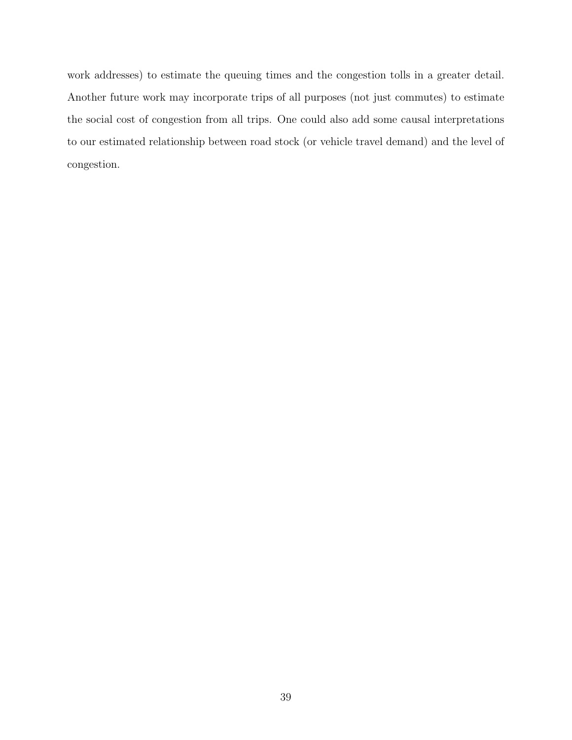work addresses) to estimate the queuing times and the congestion tolls in a greater detail. Another future work may incorporate trips of all purposes (not just commutes) to estimate the social cost of congestion from all trips. One could also add some causal interpretations to our estimated relationship between road stock (or vehicle travel demand) and the level of congestion.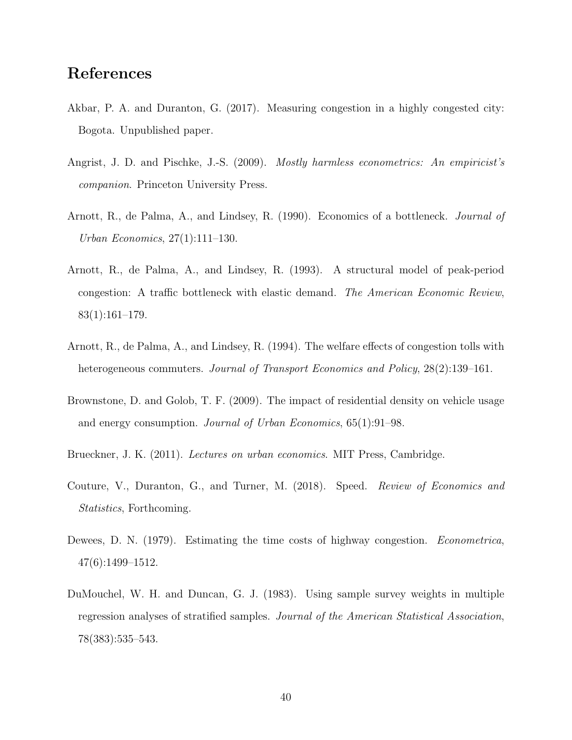# References

- <span id="page-39-5"></span>Akbar, P. A. and Duranton, G. (2017). Measuring congestion in a highly congested city: Bogota. Unpublished paper.
- <span id="page-39-7"></span>Angrist, J. D. and Pischke, J.-S. (2009). *Mostly harmless econometrics: An empiricist's* companion. Princeton University Press.
- <span id="page-39-0"></span>Arnott, R., de Palma, A., and Lindsey, R. (1990). Economics of a bottleneck. Journal of Urban Economics, 27(1):111–130.
- <span id="page-39-1"></span>Arnott, R., de Palma, A., and Lindsey, R. (1993). A structural model of peak-period congestion: A traffic bottleneck with elastic demand. The American Economic Review, 83(1):161–179.
- <span id="page-39-6"></span>Arnott, R., de Palma, A., and Lindsey, R. (1994). The welfare effects of congestion tolls with heterogeneous commuters. Journal of Transport Economics and Policy, 28(2):139–161.
- <span id="page-39-8"></span>Brownstone, D. and Golob, T. F. (2009). The impact of residential density on vehicle usage and energy consumption. Journal of Urban Economics, 65(1):91–98.
- <span id="page-39-2"></span>Brueckner, J. K. (2011). Lectures on urban economics. MIT Press, Cambridge.
- <span id="page-39-4"></span>Couture, V., Duranton, G., and Turner, M. (2018). Speed. Review of Economics and Statistics, Forthcoming.
- <span id="page-39-3"></span>Dewees, D. N. (1979). Estimating the time costs of highway congestion. *Econometrica*, 47(6):1499–1512.
- <span id="page-39-9"></span>DuMouchel, W. H. and Duncan, G. J. (1983). Using sample survey weights in multiple regression analyses of stratified samples. Journal of the American Statistical Association, 78(383):535–543.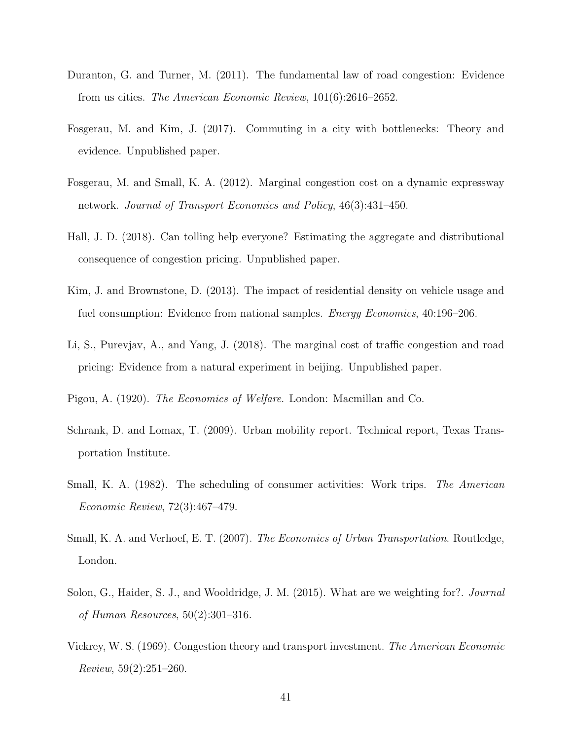- <span id="page-40-11"></span>Duranton, G. and Turner, M. (2011). The fundamental law of road congestion: Evidence from us cities. The American Economic Review, 101(6):2616–2652.
- <span id="page-40-6"></span>Fosgerau, M. and Kim, J. (2017). Commuting in a city with bottlenecks: Theory and evidence. Unpublished paper.
- <span id="page-40-2"></span>Fosgerau, M. and Small, K. A. (2012). Marginal congestion cost on a dynamic expressway network. Journal of Transport Economics and Policy, 46(3):431–450.
- <span id="page-40-5"></span>Hall, J. D. (2018). Can tolling help everyone? Estimating the aggregate and distributional consequence of congestion pricing. Unpublished paper.
- <span id="page-40-7"></span>Kim, J. and Brownstone, D. (2013). The impact of residential density on vehicle usage and fuel consumption: Evidence from national samples. Energy Economics, 40:196–206.
- <span id="page-40-3"></span>Li, S., Purevjav, A., and Yang, J. (2018). The marginal cost of traffic congestion and road pricing: Evidence from a natural experiment in beijing. Unpublished paper.
- <span id="page-40-1"></span>Pigou, A. (1920). The Economics of Welfare. London: Macmillan and Co.
- <span id="page-40-10"></span>Schrank, D. and Lomax, T. (2009). Urban mobility report. Technical report, Texas Transportation Institute.
- <span id="page-40-4"></span>Small, K. A. (1982). The scheduling of consumer activities: Work trips. The American Economic Review, 72(3):467–479.
- <span id="page-40-9"></span>Small, K. A. and Verhoef, E. T. (2007). The Economics of Urban Transportation. Routledge, London.
- <span id="page-40-8"></span>Solon, G., Haider, S. J., and Wooldridge, J. M. (2015). What are we weighting for?. *Journal* of Human Resources, 50(2):301–316.
- <span id="page-40-0"></span>Vickrey, W. S. (1969). Congestion theory and transport investment. The American Economic Review, 59(2):251–260.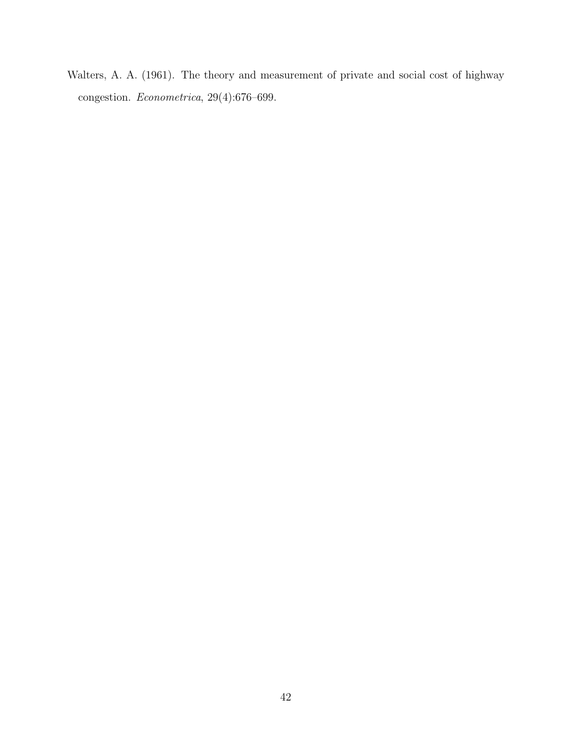<span id="page-41-0"></span>Walters, A. A. (1961). The theory and measurement of private and social cost of highway congestion. Econometrica, 29(4):676–699.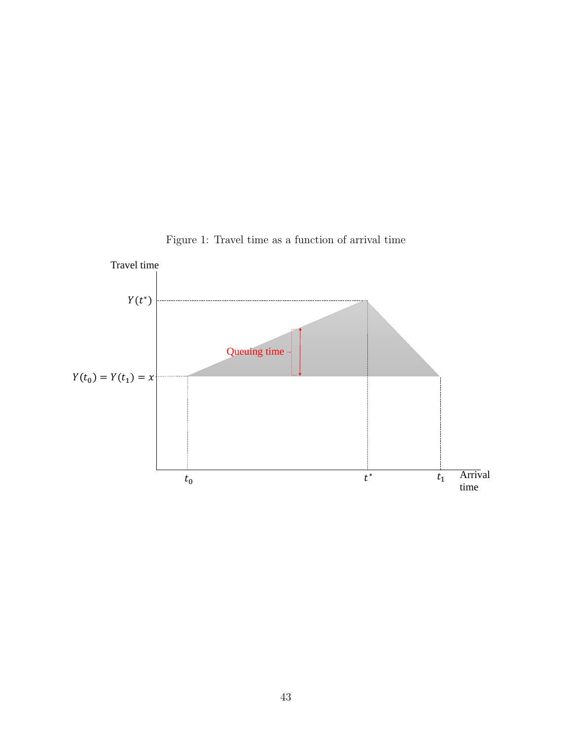<span id="page-42-0"></span>

Figure 1: Travel time as a function of arrival time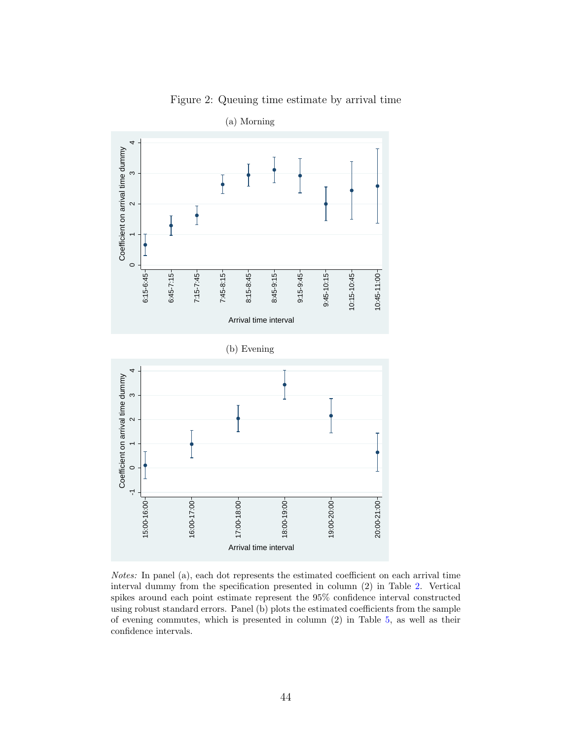<span id="page-43-0"></span>

Figure 2: Queuing time estimate by arrival time

(b) Evening



Notes: In panel (a), each dot represents the estimated coefficient on each arrival time interval dummy from the specification presented in column (2) in Table [2.](#page-45-0) Vertical spikes around each point estimate represent the 95% confidence interval constructed using robust standard errors. Panel (b) plots the estimated coefficients from the sample of evening commutes, which is presented in column (2) in Table [5,](#page-48-0) as well as their confidence intervals.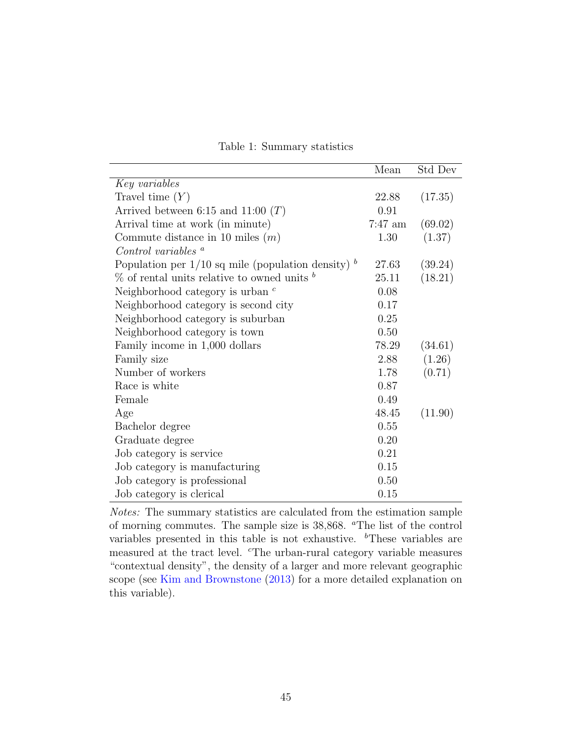<span id="page-44-0"></span>

|                                                             | Mean      | Std Dev |
|-------------------------------------------------------------|-----------|---------|
| Key variables                                               |           |         |
| Travel time $(Y)$                                           | 22.88     | (17.35) |
| Arrived between 6:15 and 11:00 $(T)$                        | 0.91      |         |
| Arrival time at work (in minute)                            | $7:47$ am | (69.02) |
| Commute distance in 10 miles $(m)$                          | 1.30      | (1.37)  |
| Control variables $\alpha$                                  |           |         |
| Population per $1/10$ sq mile (population density) $\delta$ | 27.63     | (39.24) |
| $\%$ of rental units relative to owned units $\delta$       | 25.11     | (18.21) |
| Neighborhood category is urban $c$                          | 0.08      |         |
| Neighborhood category is second city                        | 0.17      |         |
| Neighborhood category is suburban                           | 0.25      |         |
| Neighborhood category is town                               | 0.50      |         |
| Family income in 1,000 dollars                              | 78.29     | (34.61) |
| Family size                                                 | 2.88      | (1.26)  |
| Number of workers                                           | 1.78      | (0.71)  |
| Race is white                                               | 0.87      |         |
| Female                                                      | 0.49      |         |
| Age                                                         | 48.45     | (11.90) |
| Bachelor degree                                             | 0.55      |         |
| Graduate degree                                             | 0.20      |         |
| Job category is service                                     | 0.21      |         |
| Job category is manufacturing                               | 0.15      |         |
| Job category is professional                                | 0.50      |         |
| Job category is clerical                                    | 0.15      |         |

|  | Table 1: Summary statistics |  |
|--|-----------------------------|--|
|--|-----------------------------|--|

Notes: The summary statistics are calculated from the estimation sample of morning commutes. The sample size is 38,868. <sup>a</sup>The list of the control variables presented in this table is not exhaustive.  $\rm^b$ These variables are measured at the tract level. <sup>c</sup>The urban-rural category variable measures "contextual density", the density of a larger and more relevant geographic scope (see [Kim and Brownstone](#page-40-7) [\(2013\)](#page-40-7) for a more detailed explanation on this variable).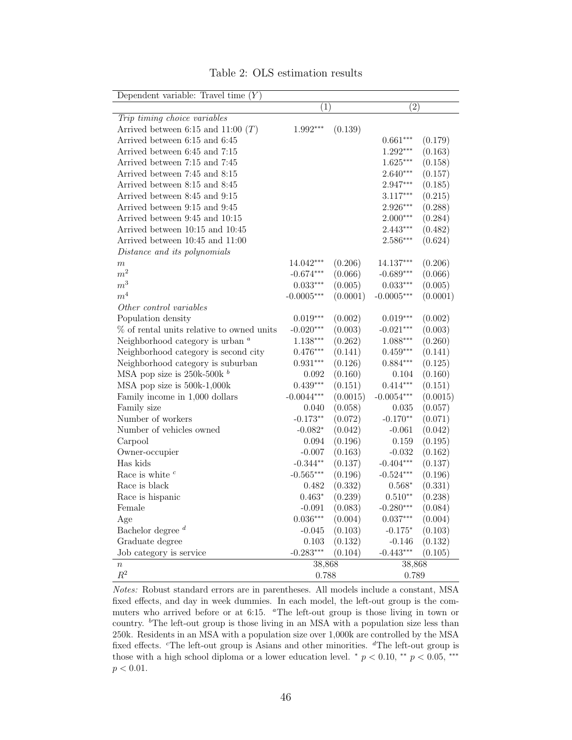<span id="page-45-0"></span>

| Dependent variable: Travel time $(Y)$     |                   |          |                   |          |  |
|-------------------------------------------|-------------------|----------|-------------------|----------|--|
|                                           | $\left( 1\right)$ |          | $\left( 2\right)$ |          |  |
| Trip timing choice variables              |                   |          |                   |          |  |
| Arrived between 6:15 and 11:00 $(T)$      | $1.992***$        | (0.139)  |                   |          |  |
| Arrived between 6:15 and 6:45             |                   |          | $0.661***$        | (0.179)  |  |
| Arrived between 6:45 and 7:15             |                   |          | $1.292***$        | (0.163)  |  |
| Arrived between 7:15 and 7:45             |                   |          | $1.625***$        | (0.158)  |  |
| Arrived between 7:45 and 8:15             |                   |          | $2.640***$        | (0.157)  |  |
| Arrived between 8:15 and 8:45             |                   |          | 2.947***          | (0.185)  |  |
| Arrived between 8:45 and 9:15             |                   |          | $3.117***$        | (0.215)  |  |
| Arrived between 9:15 and 9:45             |                   |          | 2.926***          | (0.288)  |  |
| Arrived between 9:45 and 10:15            |                   |          | $2.000***$        | (0.284)  |  |
| Arrived between 10:15 and 10:45           |                   |          | $2.443***$        | (0.482)  |  |
| Arrived between 10:45 and 11:00           |                   |          | 2.586***          | (0.624)  |  |
| Distance and its polynomials              |                   |          |                   |          |  |
| $\,m$                                     | 14.042***         | (0.206)  | $14.137***$       | (0.206)  |  |
| $\boldsymbol{m}^2$                        | $-0.674***$       | (0.066)  | $-0.689***$       | (0.066)  |  |
| $\boldsymbol{m}^3$                        | $0.033***$        | (0.005)  | $0.033***$        | (0.005)  |  |
| $\boldsymbol{m}^4$                        | $-0.0005***$      | (0.0001) | $-0.0005***$      | (0.0001) |  |
| Other control variables                   |                   |          |                   |          |  |
| Population density                        | $0.019***$        | (0.002)  | $0.019***$        | (0.002)  |  |
| % of rental units relative to owned units | $-0.020***$       | (0.003)  | $-0.021***$       | (0.003)  |  |
| Neighborhood category is urban $\alpha$   | $1.138***$        | (0.262)  | $1.088***$        | (0.260)  |  |
| Neighborhood category is second city      | $0.476***$        | (0.141)  | $0.459***$        | (0.141)  |  |
| Neighborhood category is suburban         | $0.931***$        | (0.126)  | $0.884***$        | (0.125)  |  |
| MSA pop size is $250k-500k^b$             | 0.092             | (0.160)  | 0.104             | (0.160)  |  |
| MSA pop size is 500k-1,000k               | $0.439***$        | (0.151)  | $0.414***$        | (0.151)  |  |
| Family income in 1,000 dollars            | $-0.0044***$      | (0.0015) | $-0.0054***$      | (0.0015) |  |
| Family size                               | 0.040             | (0.058)  | 0.035             | (0.057)  |  |
| Number of workers                         | $-0.173**$        | (0.072)  | $-0.170**$        | (0.071)  |  |
| Number of vehicles owned                  | $-0.082*$         | (0.042)  | $-0.061$          | (0.042)  |  |
| Carpool                                   | 0.094             | (0.196)  | 0.159             | (0.195)  |  |
| Owner-occupier                            | $-0.007$          | (0.163)  | $-0.032$          | (0.162)  |  |
| Has kids                                  | $-0.344**$        | (0.137)  | $-0.404***$       | (0.137)  |  |
| Race is white $c$                         | $-0.565***$       | (0.196)  | $-0.524***$       | (0.196)  |  |
| Race is black                             | 0.482             | (0.332)  | $0.568*$          | (0.331)  |  |
| Race is hispanic                          | $0.463*$          | (0.239)  | $0.510**$         | (0.238)  |  |
| Female                                    | $-0.091$          | (0.083)  | $-0.280***$       | (0.084)  |  |
| Age                                       | $0.036***$        | (0.004)  | $0.037***$        | (0.004)  |  |
| Bachelor degree $d$                       | $-0.045$          | (0.103)  | $-0.175*$         | (0.103)  |  |
| Graduate degree                           | 0.103             | (0.132)  | $-0.146$          | (0.132)  |  |
| Job category is service                   | $-0.283***$       | (0.104)  | $-0.443***$       | (0.105)  |  |
| $\, n$                                    | 38,868            |          | 38,868            |          |  |
| $\mathbb{R}^2$                            | 0.788             |          | 0.789             |          |  |

Table 2: OLS estimation results

Notes: Robust standard errors are in parentheses. All models include a constant, MSA fixed effects, and day in week dummies. In each model, the left-out group is the commuters who arrived before or at 6:15. <sup>a</sup>The left-out group is those living in town or country. <sup>b</sup>The left-out group is those living in an MSA with a population size less than 250k. Residents in an MSA with a population size over 1,000k are controlled by the MSA fixed effects. <sup>c</sup>The left-out group is Asians and other minorities. <sup>d</sup>The left-out group is those with a high school diploma or a lower education level. \*  $p < 0.10$ , \*\*  $p < 0.05$ , \*\*\*  $p < 0.01$ .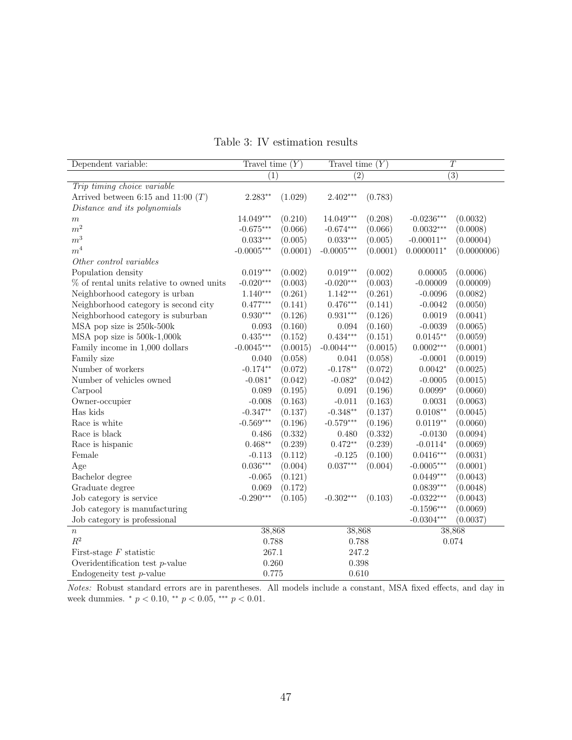<span id="page-46-0"></span>

| Dependent variable:                          | Travel time $(Y)$ |          | Travel time $(Y)$ |          | $\overline{T}$   |             |  |
|----------------------------------------------|-------------------|----------|-------------------|----------|------------------|-------------|--|
|                                              | (1)               |          | $\overline{(2)}$  |          | $\overline{(3)}$ |             |  |
| Trip timing choice variable                  |                   |          |                   |          |                  |             |  |
| Arrived between 6:15 and 11:00 $(T)$         | $2.283**$         | (1.029)  | $2.402***$        | (0.783)  |                  |             |  |
| Distance and its polynomials                 |                   |          |                   |          |                  |             |  |
| $\,m$                                        | 14.049***         | (0.210)  | $14.049***$       | (0.208)  | $-0.0236***$     | (0.0032)    |  |
| m <sup>2</sup>                               | $-0.675***$       | (0.066)  | $-0.674***$       | (0.066)  | $0.0032***$      | (0.0008)    |  |
| m <sup>3</sup>                               | $0.033***$        | (0.005)  | $0.033***$        | (0.005)  | $-0.00011**$     | (0.00004)   |  |
| m <sup>4</sup>                               | $-0.0005***$      | (0.0001) | $-0.0005***$      | (0.0001) | $0.0000011*$     | (0.0000006) |  |
| Other control variables                      |                   |          |                   |          |                  |             |  |
| Population density                           | $0.019***$        | (0.002)  | $0.019***$        | (0.002)  | 0.00005          | (0.0006)    |  |
| $\%$ of rental units relative to owned units | $-0.020***$       | (0.003)  | $-0.020***$       | (0.003)  | $-0.00009$       | (0.00009)   |  |
| Neighborhood category is urban               | $1.140***$        | (0.261)  | $1.142***$        | (0.261)  | $-0.0096$        | (0.0082)    |  |
| Neighborhood category is second city         | $0.477***$        | (0.141)  | $0.476***$        | (0.141)  | $-0.0042$        | (0.0050)    |  |
| Neighborhood category is suburban            | $0.930***$        | (0.126)  | $0.931***$        | (0.126)  | 0.0019           | (0.0041)    |  |
| MSA pop size is 250k-500k                    | 0.093             | (0.160)  | 0.094             | (0.160)  | $-0.0039$        | (0.0065)    |  |
| MSA pop size is 500k-1,000k                  | $0.435***$        | (0.152)  | $0.434***$        | (0.151)  | $0.0145**$       | (0.0059)    |  |
| Family income in 1,000 dollars               | $-0.0045***$      | (0.0015) | $-0.0044***$      | (0.0015) | $0.0002***$      | (0.0001)    |  |
| Family size                                  | 0.040             | (0.058)  | 0.041             | (0.058)  | $-0.0001$        | (0.0019)    |  |
| Number of workers                            | $-0.174**$        | (0.072)  | $-0.178**$        | (0.072)  | $0.0042*$        | (0.0025)    |  |
| Number of vehicles owned                     | $-0.081*$         | (0.042)  | $-0.082*$         | (0.042)  | $-0.0005$        | (0.0015)    |  |
| Carpool                                      | 0.089             | (0.195)  | 0.091             | (0.196)  | $0.0099*$        | (0.0060)    |  |
| Owner-occupier                               | $-0.008$          | (0.163)  | $-0.011$          | (0.163)  | 0.0031           | (0.0063)    |  |
| Has kids                                     | $-0.347**$        | (0.137)  | $-0.348**$        | (0.137)  | $0.0108**$       | (0.0045)    |  |
| Race is white                                | $-0.569***$       | (0.196)  | $-0.579***$       | (0.196)  | $0.0119**$       | (0.0060)    |  |
| Race is black                                | 0.486             | (0.332)  | 0.480             | (0.332)  | $-0.0130$        | (0.0094)    |  |
| Race is hispanic                             | $0.468**$         | (0.239)  | $0.472**$         | (0.239)  | $-0.0114*$       | (0.0069)    |  |
| Female                                       | $-0.113$          | (0.112)  | $-0.125$          | (0.100)  | $0.0416***$      | (0.0031)    |  |
| Age                                          | $0.036***$        | (0.004)  | $0.037***$        | (0.004)  | $-0.0005***$     | (0.0001)    |  |
| Bachelor degree                              | $-0.065$          | (0.121)  |                   |          | $0.0449***$      | (0.0043)    |  |
| Graduate degree                              | 0.069             | (0.172)  |                   |          | $0.0839***$      | (0.0048)    |  |
| Job category is service                      | $-0.290***$       | (0.105)  | $-0.302***$       | (0.103)  | $-0.0322***$     | (0.0043)    |  |
| Job category is manufacturing                |                   |          |                   |          | $-0.1596***$     | (0.0069)    |  |
| Job category is professional                 |                   |          |                   |          | $-0.0304***$     | (0.0037)    |  |
| $\boldsymbol{n}$                             | 38,868            |          | 38,868            |          |                  | 38,868      |  |
| $R^2$                                        | 0.788             |          | 0.788             |          |                  | 0.074       |  |
| First-stage $F$ statistic                    | 267.1             |          | 247.2             |          |                  |             |  |
| Overidentification test $p$ -value           | 0.260             |          | 0.398             |          |                  |             |  |
| Endogeneity test $p$ -value                  | 0.775             |          | 0.610             |          |                  |             |  |

Table 3: IV estimation results

Notes: Robust standard errors are in parentheses. All models include a constant, MSA fixed effects, and day in week dummies. \* $p<0.10,$ \*\* $p<0.05,$ \*\*\* $p<0.01.$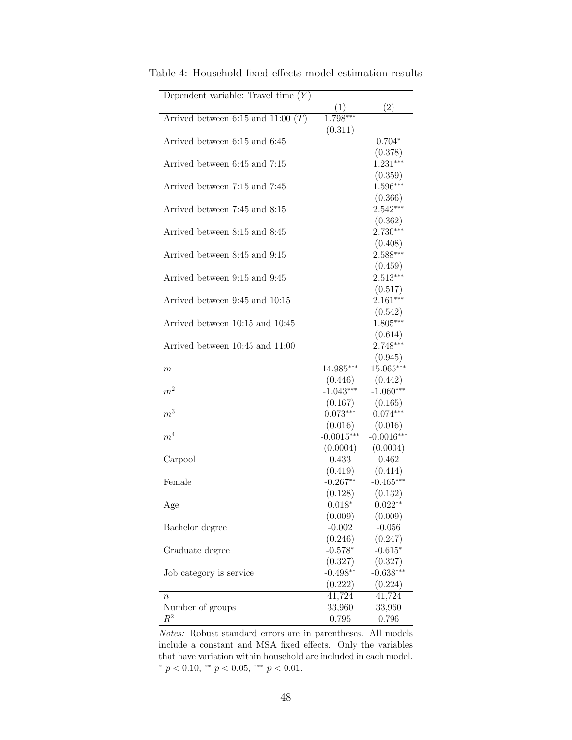| Dependent variable: Travel time $(Y)$  |                       |                       |
|----------------------------------------|-----------------------|-----------------------|
|                                        | (1)                   | (2)                   |
| Arrived between $6:15$ and $11:00$ (T) | $1.\overline{798***}$ |                       |
|                                        | (0.311)               |                       |
| Arrived between 6:15 and 6:45          |                       | $0.704*$              |
|                                        |                       | (0.378)               |
| Arrived between 6:45 and 7:15          |                       | $1.231***$            |
|                                        |                       | (0.359)               |
| Arrived between 7:15 and 7:45          |                       | 1.596***              |
|                                        |                       | (0.366)               |
| Arrived between 7:45 and 8:15          |                       | $2.542***$            |
|                                        |                       | (0.362)               |
| Arrived between 8:15 and 8:45          |                       | $2.730***$            |
|                                        |                       | (0.408)               |
| Arrived between 8:45 and 9:15          |                       | $2.588***$            |
|                                        |                       | (0.459)               |
| Arrived between 9:15 and 9:45          |                       | $2.513***$            |
|                                        |                       | (0.517)<br>$2.161***$ |
| Arrived between 9:45 and 10:15         |                       | (0.542)               |
| Arrived between 10:15 and 10:45        |                       | $1.805***$            |
|                                        |                       | (0.614)               |
| Arrived between 10:45 and 11:00        |                       | $2.748***$            |
|                                        |                       | (0.945)               |
| $\,m$                                  | 14.985***             | $15.065***$           |
|                                        | (0.446)               | (0.442)               |
| $\boldsymbol{m}^2$                     | $-1.043***$           | $-1.060***$           |
|                                        | (0.167)               | (0.165)               |
| $\,m^3$                                | $0.073***$            | $0.074***$            |
|                                        | (0.016)               | (0.016)               |
| m <sup>4</sup>                         | $-0.0015***$          | $-0.0016***$          |
|                                        | (0.0004)              | (0.0004)              |
| Carpool                                | 0.433                 | 0.462                 |
|                                        | (0.419)               | (0.414)               |
| Female                                 | $-0.267**$            | $-0.465***$           |
|                                        | (0.128)               | (0.132)               |
| Age                                    | $0.018*$              | $0.022**$             |
|                                        | (0.009)               | (0.009)               |
| Bachelor degree                        | $-0.002$              | $-0.056$              |
|                                        | (0.246)               | (0.247)               |
| Graduate degree                        | $-0.578*$             | $-0.615*$             |
|                                        | (0.327)               | (0.327)               |
| Job category is service                | $-0.498**$            | $-0.638***$           |
|                                        | (0.222)               | (0.224)               |
| $\it{n}$                               | 41,724                | 41,724                |
| Number of groups                       | 33,960                | 33,960                |
| $R^2$                                  | 0.795                 | 0.796                 |

<span id="page-47-0"></span>Table 4: Household fixed-effects model estimation results

Notes: Robust standard errors are in parentheses. All models include a constant and MSA fixed effects. Only the variables that have variation within household are included in each model. \*  $p < 0.10$ , \*\*  $p < 0.05$ , \*\*\*  $p < 0.01$ .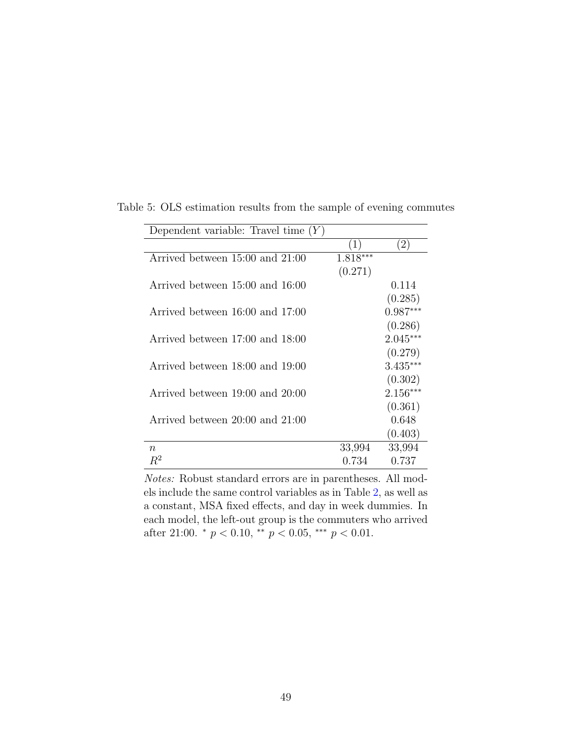| Dependent variable: Travel time $(Y)$ |          |            |  |  |  |  |  |  |
|---------------------------------------|----------|------------|--|--|--|--|--|--|
|                                       | (1)      | (2)        |  |  |  |  |  |  |
| Arrived between 15:00 and 21:00       | 1.818*** |            |  |  |  |  |  |  |
|                                       | (0.271)  |            |  |  |  |  |  |  |
| Arrived between 15:00 and 16:00       |          | 0.114      |  |  |  |  |  |  |
|                                       |          | (0.285)    |  |  |  |  |  |  |
| Arrived between 16:00 and 17:00       |          | $0.987***$ |  |  |  |  |  |  |
|                                       |          | (0.286)    |  |  |  |  |  |  |
| Arrived between 17:00 and 18:00       |          | $2.045***$ |  |  |  |  |  |  |
|                                       |          | (0.279)    |  |  |  |  |  |  |
| Arrived between 18:00 and 19:00       |          | $3.435***$ |  |  |  |  |  |  |
|                                       |          | (0.302)    |  |  |  |  |  |  |
| Arrived between 19:00 and 20:00       |          | $2.156***$ |  |  |  |  |  |  |
|                                       |          | (0.361)    |  |  |  |  |  |  |
| Arrived between 20:00 and 21:00       |          | 0.648      |  |  |  |  |  |  |
|                                       |          | (0.403)    |  |  |  |  |  |  |
| $\boldsymbol{n}$                      | 33,994   | 33,994     |  |  |  |  |  |  |
| $R^2$                                 | 0.734    | 0.737      |  |  |  |  |  |  |

<span id="page-48-0"></span>Table 5: OLS estimation results from the sample of evening commutes

Notes: Robust standard errors are in parentheses. All models include the same control variables as in Table [2,](#page-45-0) as well as a constant, MSA fixed effects, and day in week dummies. In each model, the left-out group is the commuters who arrived after 21:00.  $*$   $p < 0.10$ ,  $**$   $p < 0.05$ ,  $***$   $p < 0.01$ .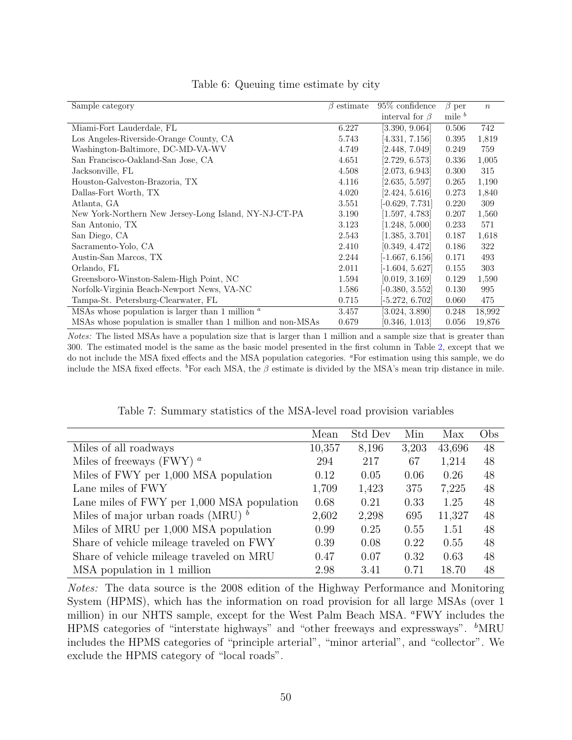<span id="page-49-0"></span>

| Sample category                                              | $\beta$ estimate | $95\%$ confidence    | $\beta$ per        | $\boldsymbol{n}$ |
|--------------------------------------------------------------|------------------|----------------------|--------------------|------------------|
|                                                              |                  | interval for $\beta$ | mile $\frac{b}{b}$ |                  |
| Miami-Fort Lauderdale, FL                                    | 6.227            | [3.390, 9.064]       | 0.506              | 742              |
| Los Angeles-Riverside-Orange County, CA                      | 5.743            | [4.331, 7.156]       | 0.395              | 1,819            |
| Washington-Baltimore, DC-MD-VA-WV                            | 4.749            | [2.448, 7.049]       | 0.249              | 759              |
| San Francisco-Oakland-San Jose, CA                           | 4.651            | [2.729, 6.573]       | 0.336              | 1,005            |
| Jacksonville, FL                                             | 4.508            | [2.073, 6.943]       | 0.300              | 315              |
| Houston-Galveston-Brazoria, TX                               | 4.116            | [2.635, 5.597]       | 0.265              | 1,190            |
| Dallas-Fort Worth, TX                                        | 4.020            | [2.424, 5.616]       | 0.273              | 1,840            |
| Atlanta, GA                                                  | 3.551            | $-0.629, 7.731]$     | 0.220              | 309              |
| New York-Northern New Jersey-Long Island, NY-NJ-CT-PA        | 3.190            | [1.597, 4.783]       | 0.207              | 1,560            |
| San Antonio, TX                                              | 3.123            | [1.248, 5.000]       | 0.233              | 571              |
| San Diego, CA                                                | 2.543            | [1.385, 3.701]       | 0.187              | 1,618            |
| Sacramento-Yolo, CA                                          | 2.410            | [0.349, 4.472]       | 0.186              | 322              |
| Austin-San Marcos, TX                                        | 2.244            | $[-1.667, 6.156]$    | 0.171              | 493              |
| Orlando, FL                                                  | 2.011            | $[-1.604, 5.627]$    | 0.155              | 303              |
| Greensboro-Winston-Salem-High Point, NC                      | 1.594            | [0.019, 3.169]       | 0.129              | 1,590            |
| Norfolk-Virginia Beach-Newport News, VA-NC                   | 1.586            | $[-0.380, 3.552]$    | 0.130              | 995              |
| Tampa-St. Petersburg-Clearwater, FL                          | 0.715            | $-5.272, 6.702$      | 0.060              | 475              |
| MSAs whose population is larger than 1 million $\alpha$      | 3.457            | [3.024, 3.890]       | 0.248              | 18,992           |
| MSAs whose population is smaller than 1 million and non-MSAs | 0.679            | [0.346, 1.013]       | 0.056              | 19,876           |

### Table 6: Queuing time estimate by city

Notes: The listed MSAs have a population size that is larger than 1 million and a sample size that is greater than 300. The estimated model is the same as the basic model presented in the first column in Table [2,](#page-45-0) except that we do not include the MSA fixed effects and the MSA population categories. <sup>a</sup>For estimation using this sample, we do include the MSA fixed effects. <sup>b</sup>For each MSA, the  $\beta$  estimate is divided by the MSA's mean trip distance in mile.

Table 7: Summary statistics of the MSA-level road provision variables

<span id="page-49-1"></span>

|                                            | Mean   | Std Dev | Min   | Max    | Obs |
|--------------------------------------------|--------|---------|-------|--------|-----|
| Miles of all roadways                      | 10,357 | 8,196   | 3,203 | 43,696 | 48  |
| Miles of freeways (FWY) $^a$               | 294    | 217     | 67    | 1,214  | 48  |
| Miles of FWY per 1,000 MSA population      | 0.12   | 0.05    | 0.06  | 0.26   | 48  |
| Lane miles of FWY                          | 1,709  | 1,423   | 375   | 7,225  | 48  |
| Lane miles of FWY per 1,000 MSA population | 0.68   | 0.21    | 0.33  | 1.25   | 48  |
| Miles of major urban roads (MRU) $^b$      | 2,602  | 2,298   | 695   | 11,327 | 48  |
| Miles of MRU per 1,000 MSA population      | 0.99   | 0.25    | 0.55  | 1.51   | 48  |
| Share of vehicle mileage traveled on FWY   | 0.39   | 0.08    | 0.22  | 0.55   | 48  |
| Share of vehicle mileage traveled on MRU   | 0.47   | 0.07    | 0.32  | 0.63   | 48  |
| MSA population in 1 million                | 2.98   | 3.41    | 0.71  | 18.70  | 48  |

Notes: The data source is the 2008 edition of the Highway Performance and Monitoring System (HPMS), which has the information on road provision for all large MSAs (over 1 million) in our NHTS sample, except for the West Palm Beach MSA. "FWY includes the HPMS categories of "interstate highways" and "other freeways and expressways".  $\rm ^{b}MRU$ includes the HPMS categories of "principle arterial", "minor arterial", and "collector". We exclude the HPMS category of "local roads".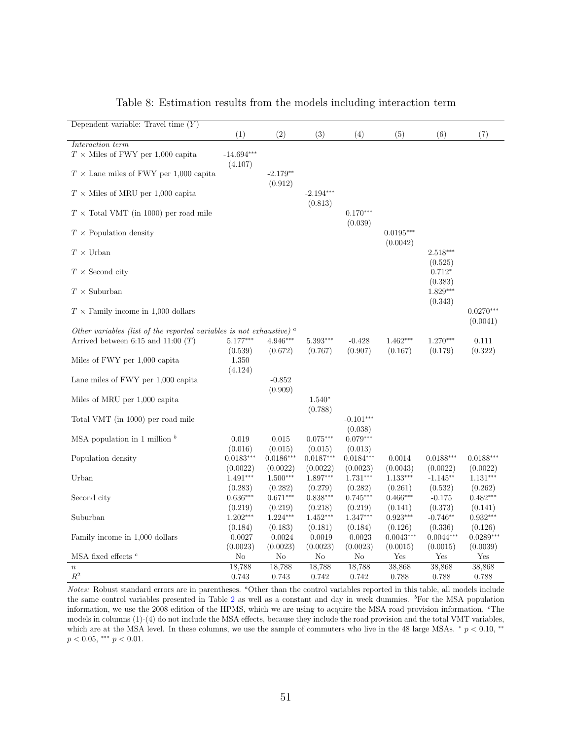<span id="page-50-0"></span>

| Dependent variable: Travel time $(Y)$                                       |                         |                         |                         |                         |                         |                         |                         |
|-----------------------------------------------------------------------------|-------------------------|-------------------------|-------------------------|-------------------------|-------------------------|-------------------------|-------------------------|
|                                                                             | (1)                     | $\overline{(2)}$        | $\overline{(3)}$        | $\overline{(4)}$        | $\overline{(5)}$        | $\overline{(6)}$        | $\overline{(7)}$        |
| Interaction term                                                            |                         |                         |                         |                         |                         |                         |                         |
| $T \times$ Miles of FWY per 1,000 capita                                    | $-14.694***$<br>(4.107) |                         |                         |                         |                         |                         |                         |
| $T \times$ Lane miles of FWY per 1,000 capital                              |                         | $-2.179**$<br>(0.912)   |                         |                         |                         |                         |                         |
| $T \times$ Miles of MRU per 1,000 capita                                    |                         |                         | $-2.194***$<br>(0.813)  |                         |                         |                         |                         |
| $T \times$ Total VMT (in 1000) per road mile                                |                         |                         |                         | $0.170***$<br>(0.039)   |                         |                         |                         |
| $T \times$ Population density                                               |                         |                         |                         |                         | $0.0195***$<br>(0.0042) |                         |                         |
| $T \times$ Urban                                                            |                         |                         |                         |                         |                         | $2.518***$<br>(0.525)   |                         |
| $T \times$ Second city                                                      |                         |                         |                         |                         |                         | $0.712*$<br>(0.383)     |                         |
| $T \times$ Suburban                                                         |                         |                         |                         |                         |                         | $1.829***$<br>(0.343)   |                         |
| $T \times$ Family income in 1,000 dollars                                   |                         |                         |                         |                         |                         |                         | $0.0270***$<br>(0.0041) |
| Other variables (list of the reported variables is not exhaustive) $\alpha$ |                         |                         |                         |                         |                         |                         |                         |
| Arrived between 6:15 and 11:00 $(T)$                                        | $5.177***$              | 4.946***                | $5.393***$              | $-0.428$                | $1.462***$              | $1.270***$              | 0.111                   |
|                                                                             | (0.539)                 | (0.672)                 | (0.767)                 | (0.907)                 | (0.167)                 | (0.179)                 | (0.322)                 |
| Miles of FWY per 1,000 capita                                               | 1.350<br>(4.124)        |                         |                         |                         |                         |                         |                         |
| Lane miles of FWY per 1,000 capital                                         |                         | $-0.852$<br>(0.909)     |                         |                         |                         |                         |                         |
| Miles of MRU per 1,000 capita                                               |                         |                         | $1.540*$<br>(0.788)     |                         |                         |                         |                         |
| Total VMT (in 1000) per road mile                                           |                         |                         |                         | $-0.101***$<br>(0.038)  |                         |                         |                         |
| MSA population in 1 million $\frac{b}{b}$                                   | 0.019<br>(0.016)        | 0.015<br>(0.015)        | $0.075***$<br>(0.015)   | $0.079***$<br>(0.013)   |                         |                         |                         |
| Population density                                                          | $0.0183***$<br>(0.0022) | $0.0186***$<br>(0.0022) | $0.0187***$<br>(0.0022) | $0.0184***$<br>(0.0023) | 0.0014<br>(0.0043)      | $0.0188***$<br>(0.0022) | $0.0188***$<br>(0.0022) |
| Urban                                                                       | $1.491***$<br>(0.283)   | $1.500***$<br>(0.282)   | 1.897***<br>(0.279)     | $1.731***$<br>(0.282)   | $1.133***$<br>(0.261)   | $-1.145**$<br>(0.532)   | $1.131***$<br>(0.262)   |
| Second city                                                                 | $0.636***$              | $0.671***$              | $0.838***$              | $0.745***$              | $0.466***$              | $-0.175$                | $0.482***$              |
|                                                                             | (0.219)                 | (0.219)                 | (0.218)                 | (0.219)                 | (0.141)                 | (0.373)                 | (0.141)                 |
| Suburban                                                                    | $1.202***$              | $1.224***$              | $1.452***$              | 1.347***                | $0.923***$              | $-0.746**$              | $0.932***$              |
|                                                                             | (0.184)                 | (0.183)                 | (0.181)                 | (0.184)                 | (0.126)                 | (0.336)                 | (0.126)                 |
| Family income in 1,000 dollars                                              | $-0.0027$               | $-0.0024$               | $-0.0019$               | $-0.0023$               | $-0.0043***$            | $-0.0044***$            | $-0.0289***$            |
|                                                                             | (0.0023)                | (0.0023)                | (0.0023)                | (0.0023)                | (0.0015)                | (0.0015)                | (0.0039)                |
| MSA fixed effects $c$                                                       | No                      | N <sub>o</sub>          | No                      | No                      | Yes                     | Yes                     | Yes                     |
| $\boldsymbol{n}$                                                            | 18.788                  | 18,788                  | 18,788                  | 18,788                  | 38,868                  | 38,868                  | 38,868                  |
| $\mathbb{R}^2$                                                              | 0.743                   | 0.743                   | 0.742                   | 0.742                   | 0.788                   | 0.788                   | 0.788                   |

#### Table 8: Estimation results from the models including interaction term

Notes: Robust standard errors are in parentheses. "Other than the control variables reported in this table, all models include the same control variables presented in Table [2](#page-45-0) as well as a constant and day in week dummies.  $\rm{^b}For$  the MSA population information, we use the 2008 edition of the HPMS, which we are using to acquire the MSA road provision information. <sup>c</sup>The models in columns (1)-(4) do not include the MSA effects, because they include the road provision and the total VMT variables, which are at the MSA level. In these columns, we use the sample of commuters who live in the 48 large MSAs.  $* p < 0.10$ , \*\*  $p < 0.05$ , \*\*\*  $p < 0.01$ .